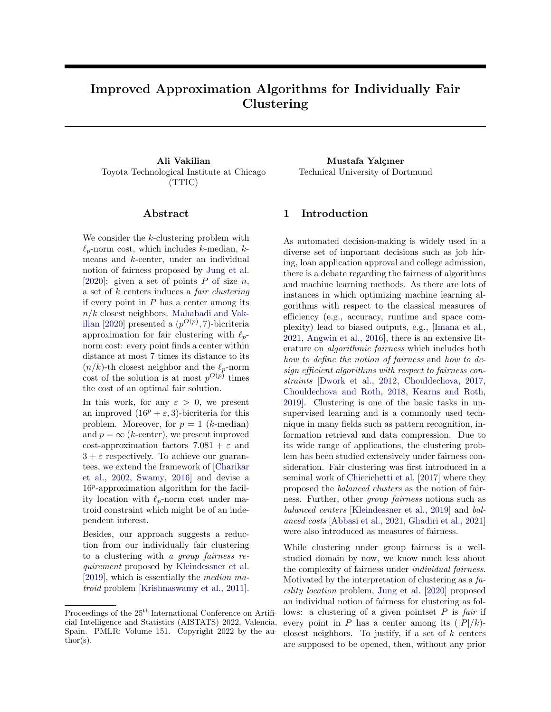# Improved Approximation Algorithms for Individually Fair Clustering

Ali Vakilian Mustafa Yalçıner Toyota Technological Institute at Chicago (TTIC)

### Abstract

We consider the k-clustering problem with  $\ell_n$ -norm cost, which includes k-median, kmeans and k-center, under an individual notion of fairness proposed by [Jung et al.](#page-9-0) [\[2020\]](#page-9-0): given a set of points  $P$  of size  $n$ , a set of k centers induces a fair clustering if every point in  $P$  has a center among its  $n/k$  closest neighbors. [Mahabadi and Vak](#page-9-1)[ilian](#page-9-1) [\[2020\]](#page-9-1) presented a  $(p^{O(p)}, 7)$ -bicriteria approximation for fair clustering with  $\ell_{p}$ norm cost: every point finds a center within distance at most 7 times its distance to its  $(n/k)$ -th closest neighbor and the  $\ell_p$ -norm cost of the solution is at most  $p^{O(p)}$  times the cost of an optimal fair solution.

In this work, for any  $\varepsilon > 0$ , we present an improved  $(16^p + \varepsilon, 3)$ -bicriteria for this problem. Moreover, for  $p = 1$  (*k*-median) and  $p = \infty$  (*k*-center), we present improved cost-approximation factors  $7.081 + \varepsilon$  and  $3 + \varepsilon$  respectively. To achieve our guarantees, we extend the framework of [\[Charikar](#page-8-0) [et al.,](#page-8-0) [2002,](#page-8-0) [Swamy,](#page-9-2) [2016\]](#page-9-2) and devise a 16<sup>p</sup>-approximation algorithm for the facility location with  $\ell_p$ -norm cost under matroid constraint which might be of an independent interest.

Besides, our approach suggests a reduction from our individually fair clustering to a clustering with a group fairness requirement proposed by [Kleindessner et al.](#page-9-3) [\[2019\]](#page-9-3), which is essentially the median matroid problem [\[Krishnaswamy et al.,](#page-9-4) [2011\]](#page-9-4).

Technical University of Dortmund

# 1 Introduction

As automated decision-making is widely used in a diverse set of important decisions such as job hiring, loan application approval and college admission, there is a debate regarding the fairness of algorithms and machine learning methods. As there are lots of instances in which optimizing machine learning algorithms with respect to the classical measures of efficiency (e.g., accuracy, runtime and space complexity) lead to biased outputs, e.g., [\[Imana et al.,](#page-9-5) [2021,](#page-9-5) [Angwin et al.,](#page-8-1) [2016\]](#page-8-1), there is an extensive literature on algorithmic fairness which includes both how to define the notion of fairness and how to design efficient algorithms with respect to fairness constraints [\[Dwork et al.,](#page-9-6) [2012,](#page-9-6) [Chouldechova,](#page-9-7) [2017,](#page-9-7) [Chouldechova and Roth,](#page-9-8) [2018,](#page-9-8) [Kearns and Roth,](#page-9-9) [2019\]](#page-9-9). Clustering is one of the basic tasks in unsupervised learning and is a commonly used technique in many fields such as pattern recognition, information retrieval and data compression. Due to its wide range of applications, the clustering problem has been studied extensively under fairness consideration. Fair clustering was first introduced in a seminal work of [Chierichetti et al.](#page-8-2) [\[2017\]](#page-8-2) where they proposed the balanced clusters as the notion of fairness. Further, other group fairness notions such as balanced centers [\[Kleindessner et al.,](#page-9-3) [2019\]](#page-9-3) and balanced costs [\[Abbasi et al.,](#page-8-3) [2021,](#page-8-3) [Ghadiri et al.,](#page-9-10) [2021\]](#page-9-10) were also introduced as measures of fairness.

While clustering under group fairness is a wellstudied domain by now, we know much less about the complexity of fairness under individual fairness. Motivated by the interpretation of clustering as a facility location problem, [Jung et al.](#page-9-0) [\[2020\]](#page-9-0) proposed an individual notion of fairness for clustering as follows: a clustering of a given pointset  $P$  is fair if every point in P has a center among its  $(|P|/k)$ closest neighbors. To justify, if a set of  $k$  centers are supposed to be opened, then, without any prior

Proceedings of the  $25<sup>th</sup>$  International Conference on Artificial Intelligence and Statistics (AISTATS) 2022, Valencia, Spain. PMLR: Volume 151. Copyright 2022 by the author(s).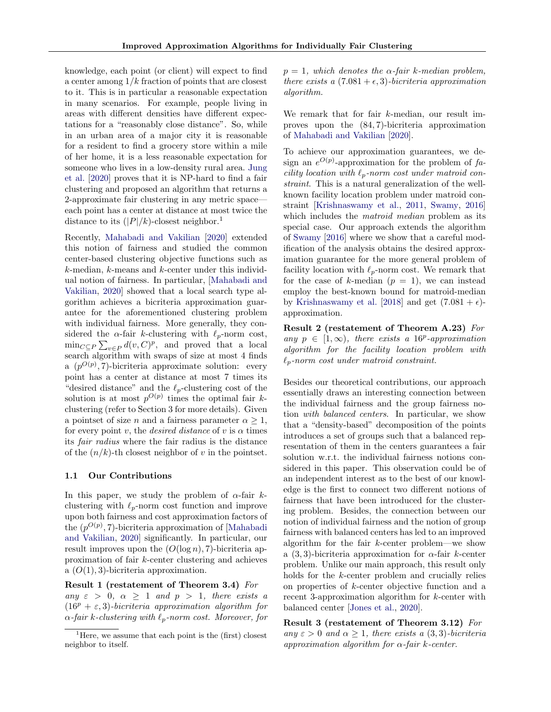knowledge, each point (or client) will expect to find a center among  $1/k$  fraction of points that are closest to it. This is in particular a reasonable expectation in many scenarios. For example, people living in areas with different densities have different expectations for a "reasonably close distance". So, while in an urban area of a major city it is reasonable for a resident to find a grocery store within a mile of her home, it is a less reasonable expectation for someone who lives in a low-density rural area. [Jung](#page-9-0) [et al.](#page-9-0) [\[2020\]](#page-9-0) proves that it is NP-hard to find a fair clustering and proposed an algorithm that returns a 2-approximate fair clustering in any metric space each point has a center at distance at most twice the distance to its  $(|P|/k)$ -closest neighbor.<sup>[1](#page-1-0)</sup>

Recently, [Mahabadi and Vakilian](#page-9-1) [\[2020\]](#page-9-1) extended this notion of fairness and studied the common center-based clustering objective functions such as k-median, k-means and k-center under this individual notion of fairness. In particular, [\[Mahabadi and](#page-9-1) [Vakilian,](#page-9-1) [2020\]](#page-9-1) showed that a local search type algorithm achieves a bicriteria approximation guarantee for the aforementioned clustering problem with individual fairness. More generally, they considered the  $\alpha$ -fair k-clustering with  $\ell_p$ -norm cost,  $\min_{C \subseteq P} \sum_{v \in P} d(v, C)^p$ , and proved that a local search algorithm with swaps of size at most 4 finds a  $(p^{O(p)}, 7)$ -bicriteria approximate solution: every point has a center at distance at most 7 times its "desired distance" and the  $\ell_p$ -clustering cost of the solution is at most  $p^{O(p)}$  times the optimal fair kclustering (refer to Section [3](#page-3-0) for more details). Given a pointset of size *n* and a fairness parameter  $\alpha \geq 1$ , for every point v, the *desired distance* of v is  $\alpha$  times its fair radius where the fair radius is the distance of the  $(n/k)$ -th closest neighbor of v in the pointset.

#### 1.1 Our Contributions

In this paper, we study the problem of  $\alpha$ -fair kclustering with  $\ell_p$ -norm cost function and improve upon both fairness and cost approximation factors of the  $(p^{O(p)}, 7)$ -bicriteria approximation of [\[Mahabadi](#page-9-1) [and Vakilian,](#page-9-1) [2020\]](#page-9-1) significantly. In particular, our result improves upon the  $(O(\log n), 7)$ -bicriteria approximation of fair k-center clustering and achieves a  $(O(1), 3)$ -bicriteria approximation.

Result 1 (restatement of Theorem [3.4\)](#page-4-0) For any  $\varepsilon > 0$ ,  $\alpha \geq 1$  and  $p > 1$ , there exists a  $(16^p + \varepsilon, 3)$ -bicriteria approximation algorithm for  $\alpha$ -fair k-clustering with  $\ell_p$ -norm cost. Moreover, for  $p = 1$ , which denotes the  $\alpha$ -fair k-median problem, there exists a  $(7.081 + \epsilon, 3)$ -bicriteria approximation algorithm.

We remark that for fair k-median, our result improves upon the (84, 7)-bicriteria approximation of [Mahabadi and Vakilian](#page-9-1) [\[2020\]](#page-9-1).

To achieve our approximation guarantees, we design an  $e^{O(p)}$ -approximation for the problem of facility location with  $\ell_p$ -norm cost under matroid constraint. This is a natural generalization of the wellknown facility location problem under matroid constraint [\[Krishnaswamy et al.,](#page-9-4) [2011,](#page-9-4) [Swamy,](#page-9-2) [2016\]](#page-9-2) which includes the *matroid median* problem as its special case. Our approach extends the algorithm of [Swamy](#page-9-2) [\[2016\]](#page-9-2) where we show that a careful modification of the analysis obtains the desired approximation guarantee for the more general problem of facility location with  $\ell_p$ -norm cost. We remark that for the case of k-median  $(p = 1)$ , we can instead employ the best-known bound for matroid-median by [Krishnaswamy et al.](#page-9-11) [\[2018\]](#page-9-11) and get  $(7.081 + \epsilon)$ approximation.

Result 2 (restatement of Theorem [A.23\)](#page-20-0) For any  $p \in [1, \infty)$ , there exists a 16<sup>p</sup>-approximation algorithm for the facility location problem with  $\ell_p$ -norm cost under matroid constraint.

Besides our theoretical contributions, our approach essentially draws an interesting connection between the individual fairness and the group fairness notion with balanced centers. In particular, we show that a "density-based" decomposition of the points introduces a set of groups such that a balanced representation of them in the centers guarantees a fair solution w.r.t. the individual fairness notions considered in this paper. This observation could be of an independent interest as to the best of our knowledge is the first to connect two different notions of fairness that have been introduced for the clustering problem. Besides, the connection between our notion of individual fairness and the notion of group fairness with balanced centers has led to an improved algorithm for the fair k-center problem—we show a (3, 3)-bicriteria approximation for  $\alpha$ -fair k-center problem. Unlike our main approach, this result only holds for the k-center problem and crucially relies on properties of k-center objective function and a recent 3-approximation algorithm for k-center with balanced center [\[Jones et al.,](#page-9-12) [2020\]](#page-9-12).

Result 3 (restatement of Theorem [3.12\)](#page-7-0) For any  $\varepsilon > 0$  and  $\alpha \geq 1$ , there exists a  $(3,3)$ -bicriteria approximation algorithm for  $\alpha$ -fair k-center.

<span id="page-1-0"></span> ${}^{1}$ Here, we assume that each point is the (first) closest neighbor to itself.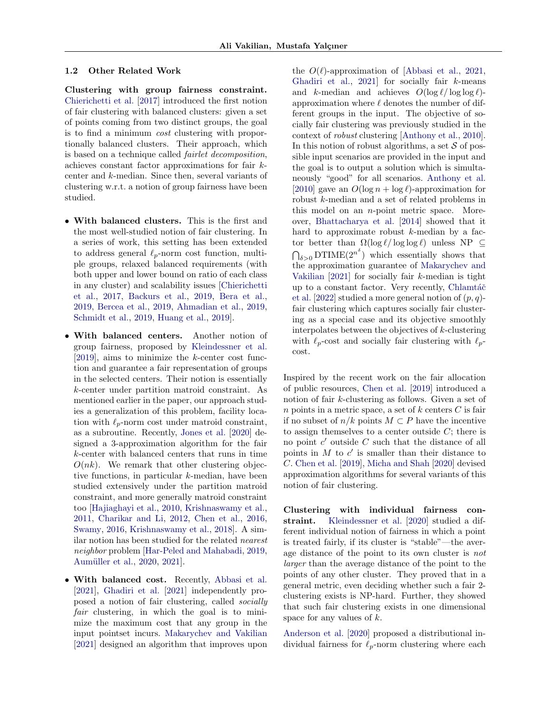#### 1.2 Other Related Work

Clustering with group fairness constraint. [Chierichetti et al.](#page-8-2) [\[2017\]](#page-8-2) introduced the first notion of fair clustering with balanced clusters: given a set of points coming from two distinct groups, the goal is to find a minimum cost clustering with proportionally balanced clusters. Their approach, which is based on a technique called fairlet decomposition, achieves constant factor approximations for fair kcenter and k-median. Since then, several variants of clustering w.r.t. a notion of group fairness have been studied.

- With balanced clusters. This is the first and the most well-studied notion of fair clustering. In a series of work, this setting has been extended to address general  $\ell_p$ -norm cost function, multiple groups, relaxed balanced requirements (with both upper and lower bound on ratio of each class in any cluster) and scalability issues [\[Chierichetti](#page-8-2) [et al.,](#page-8-2) [2017,](#page-8-2) [Backurs et al.,](#page-8-4) [2019,](#page-8-4) [Bera et al.,](#page-8-5) [2019,](#page-8-5) [Bercea et al.,](#page-8-6) [2019,](#page-8-6) [Ahmadian et al.,](#page-8-7) [2019,](#page-8-7) [Schmidt et al.,](#page-9-13) [2019,](#page-9-13) [Huang et al.,](#page-9-14) [2019\]](#page-9-14).
- With balanced centers. Another notion of group fairness, proposed by [Kleindessner et al.](#page-9-3) [\[2019\]](#page-9-3), aims to minimize the k-center cost function and guarantee a fair representation of groups in the selected centers. Their notion is essentially k-center under partition matroid constraint. As mentioned earlier in the paper, our approach studies a generalization of this problem, facility location with  $\ell_p$ -norm cost under matroid constraint, as a subroutine. Recently, [Jones et al.](#page-9-12) [\[2020\]](#page-9-12) designed a 3-approximation algorithm for the fair k-center with balanced centers that runs in time  $O(nk)$ . We remark that other clustering objective functions, in particular k-median, have been studied extensively under the partition matroid constraint, and more generally matroid constraint too [\[Hajiaghayi et al.,](#page-9-15) [2010,](#page-9-15) [Krishnaswamy et al.,](#page-9-4) [2011,](#page-9-4) [Charikar and Li,](#page-8-8) [2012,](#page-8-8) [Chen et al.,](#page-8-9) [2016,](#page-8-9) [Swamy,](#page-9-2) [2016,](#page-9-2) [Krishnaswamy et al.,](#page-9-11) [2018\]](#page-9-11). A similar notion has been studied for the related nearest neighbor problem [\[Har-Peled and Mahabadi,](#page-9-16) [2019,](#page-9-16) Aumüller et al., [2020,](#page-8-10) [2021\]](#page-8-11).
- With balanced cost. Recently, [Abbasi et al.](#page-8-3) [\[2021\]](#page-8-3), [Ghadiri et al.](#page-9-10) [\[2021\]](#page-9-10) independently proposed a notion of fair clustering, called socially fair clustering, in which the goal is to minimize the maximum cost that any group in the input pointset incurs. [Makarychev and Vakilian](#page-9-17) [\[2021\]](#page-9-17) designed an algorithm that improves upon

the  $O(\ell)$ -approximation of [\[Abbasi et al.,](#page-8-3) [2021,](#page-8-3) [Ghadiri et al.,](#page-9-10)  $2021$  for socially fair  $k$ -means and k-median and achieves  $O(\log \ell / \log \log \ell)$ approximation where  $\ell$  denotes the number of different groups in the input. The objective of socially fair clustering was previously studied in the context of robust clustering [\[Anthony et al.,](#page-8-12) [2010\]](#page-8-12). In this notion of robust algorithms, a set  $\mathcal S$  of possible input scenarios are provided in the input and the goal is to output a solution which is simultaneously "good" for all scenarios. [Anthony et al.](#page-8-12) [\[2010\]](#page-8-12) gave an  $O(\log n + \log \ell)$ -approximation for robust k-median and a set of related problems in this model on an n-point metric space. Moreover, [Bhattacharya et al.](#page-8-13) [\[2014\]](#page-8-13) showed that it hard to approximate robust  $k$ -median by a factor better than  $\Omega(\log \ell / \log \log \ell)$  unless NP  $\subseteq$  $\bigcap_{\delta>0}$  DTIME $(2^{n^{\delta}})$  which essentially shows that the approximation guarantee of [Makarychev and](#page-9-17) [Vakilian](#page-9-17)  $[2021]$  for socially fair k-median is tight up to a constant factor. Very recently, Chlamtáč [et al.](#page-9-18) [\[2022\]](#page-9-18) studied a more general notion of  $(p, q)$ fair clustering which captures socially fair clustering as a special case and its objective smoothly interpolates between the objectives of  $k$ -clustering with  $\ell_p$ -cost and socially fair clustering with  $\ell_p$ cost.

Inspired by the recent work on the fair allocation of public resources, [Chen et al.](#page-8-14) [\[2019\]](#page-8-14) introduced a notion of fair k-clustering as follows. Given a set of n points in a metric space, a set of  $k$  centers  $C$  is fair if no subset of  $n/k$  points  $M \subset P$  have the incentive to assign themselves to a center outside  $C$ ; there is no point  $c'$  outside  $C$  such that the distance of all points in  $M$  to  $c'$  is smaller than their distance to C. [Chen et al.](#page-8-14) [\[2019\]](#page-8-14), [Micha and Shah](#page-9-19) [\[2020\]](#page-9-19) devised approximation algorithms for several variants of this notion of fair clustering.

Clustering with individual fairness constraint. [Kleindessner et al.](#page-9-20) [\[2020\]](#page-9-20) studied a different individual notion of fairness in which a point is treated fairly, if its cluster is "stable"—the average distance of the point to its own cluster is not larger than the average distance of the point to the points of any other cluster. They proved that in a general metric, even deciding whether such a fair 2 clustering exists is NP-hard. Further, they showed that such fair clustering exists in one dimensional space for any values of  $k$ .

[Anderson et al.](#page-8-15) [\[2020\]](#page-8-15) proposed a distributional individual fairness for  $\ell_p$ -norm clustering where each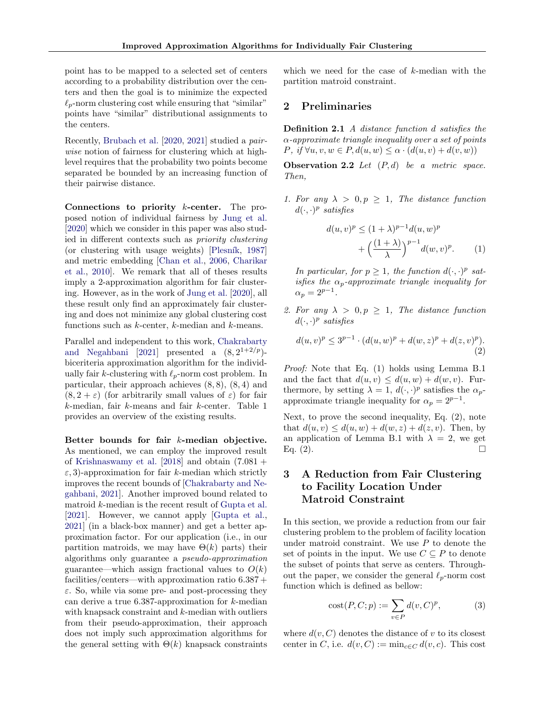point has to be mapped to a selected set of centers according to a probability distribution over the centers and then the goal is to minimize the expected  $\ell_p$ -norm clustering cost while ensuring that "similar" points have "similar" distributional assignments to the centers.

Recently, [Brubach et al.](#page-8-16) [\[2020,](#page-8-16) [2021\]](#page-8-17) studied a pairwise notion of fairness for clustering which at highlevel requires that the probability two points become separated be bounded by an increasing function of their pairwise distance.

Connections to priority k-center. The proposed notion of individual fairness by [Jung et al.](#page-9-0) [\[2020\]](#page-9-0) which we consider in this paper was also studied in different contexts such as priority clustering (or clustering with usage weights)  $[P$ lesník, [1987\]](#page-9-21) and metric embedding [\[Chan et al.,](#page-8-18) [2006,](#page-8-18) [Charikar](#page-8-19) [et al.,](#page-8-19) [2010\]](#page-8-19). We remark that all of theses results imply a 2-approximation algorithm for fair clustering. However, as in the work of [Jung et al.](#page-9-0) [\[2020\]](#page-9-0), all these result only find an approximately fair clustering and does not minimize any global clustering cost functions such as  $k$ -center,  $k$ -median and  $k$ -means.

Parallel and independent to this work, [Chakrabarty](#page-8-20) [and Negahbani](#page-8-20) [\[2021\]](#page-8-20) presented a  $(8, 2^{1+2/p})$ biceriteria approximation algorithm for the individually fair k-clustering with  $\ell_p$ -norm cost problem. In particular, their approach achieves  $(8, 8)$ ,  $(8, 4)$  and  $(8, 2 + \varepsilon)$  (for arbitrarily small values of  $\varepsilon$ ) for fair k-median, fair k-means and fair k-center. Table [1](#page-4-1) provides an overview of the existing results.

Better bounds for fair k-median objective. As mentioned, we can employ the improved result of [Krishnaswamy et al.](#page-9-11)  $[2018]$  and obtain  $(7.081 +$  $\varepsilon$ , 3)-approximation for fair k-median which strictly improves the recent bounds of [\[Chakrabarty and Ne](#page-8-20)[gahbani,](#page-8-20) [2021\]](#page-8-20). Another improved bound related to matroid k-median is the recent result of [Gupta et al.](#page-9-22) [\[2021\]](#page-9-22). However, we cannot apply [\[Gupta et al.,](#page-9-22) [2021\]](#page-9-22) (in a black-box manner) and get a better approximation factor. For our application (i.e., in our partition matroids, we may have  $\Theta(k)$  parts) their algorithms only guarantee a pseudo-approximation guarantee—which assign fractional values to  $O(k)$ facilities/centers—with approximation ratio 6.387 +  $\varepsilon$ . So, while via some pre- and post-processing they can derive a true  $6.387$ -approximation for  $k$ -median with knapsack constraint and k-median with outliers from their pseudo-approximation, their approach does not imply such approximation algorithms for the general setting with  $\Theta(k)$  knapsack constraints which we need for the case of k-median with the partition matroid constraint.

### 2 Preliminaries

Definition 2.1 A distance function d satisfies the  $\alpha$ -approximate triangle inequality over a set of points P, if  $\forall u, v, w \in P$ ,  $d(u, w) \leq \alpha \cdot (d(u, v) + d(v, w))$ 

<span id="page-3-3"></span>**Observation 2.2** Let  $(P,d)$  be a metric space. Then,

1. For any  $\lambda > 0, p \ge 1$ , The distance function  $d(\cdot, \cdot)^p$  satisfies

<span id="page-3-1"></span>
$$
d(u, v)^p \le (1 + \lambda)^{p-1} d(u, w)^p
$$

$$
+ \left(\frac{(1 + \lambda)}{\lambda}\right)^{p-1} d(w, v)^p. \tag{1}
$$

In particular, for  $p \geq 1$ , the function  $d(\cdot, \cdot)^p$  satisfies the  $\alpha_p$ -approximate triangle inequality for  $\alpha_p = 2^{p-1}.$ 

2. For any  $\lambda > 0, p \ge 1$ , The distance function  $d(\cdot, \cdot)^p$  satisfies

<span id="page-3-2"></span>
$$
d(u, v)^p \le 3^{p-1} \cdot (d(u, w)^p + d(w, z)^p + d(z, v)^p). \tag{2}
$$

Proof: Note that Eq. [\(1\)](#page-3-1) holds using Lemma [B.1](#page-20-1) and the fact that  $d(u, v) \leq d(u, w) + d(w, v)$ . Furthermore, by setting  $\lambda = 1, d(\cdot, \cdot)^p$  satisfies the  $\alpha_p$ approximate triangle inequality for  $\alpha_p = 2^{p-1}$ .

Next, to prove the second inequality, Eq. [\(2\)](#page-3-2), note that  $d(u, v) \leq d(u, w) + d(w, z) + d(z, v)$ . Then, by an application of Lemma [B.1](#page-20-1) with  $\lambda = 2$ , we get Eq. [\(2\)](#page-3-2).

# <span id="page-3-0"></span>3 A Reduction from Fair Clustering to Facility Location Under Matroid Constraint

In this section, we provide a reduction from our fair clustering problem to the problem of facility location under matroid constraint. We use  $P$  to denote the set of points in the input. We use  $C \subseteq P$  to denote the subset of points that serve as centers. Throughout the paper, we consider the general  $\ell_p$ -norm cost function which is defined as bellow:

$$
cost(P, C; p) := \sum_{v \in P} d(v, C)^p,
$$
 (3)

where  $d(v, C)$  denotes the distance of v to its closest center in C, i.e.  $d(v, C) := \min_{c \in C} d(v, c)$ . This cost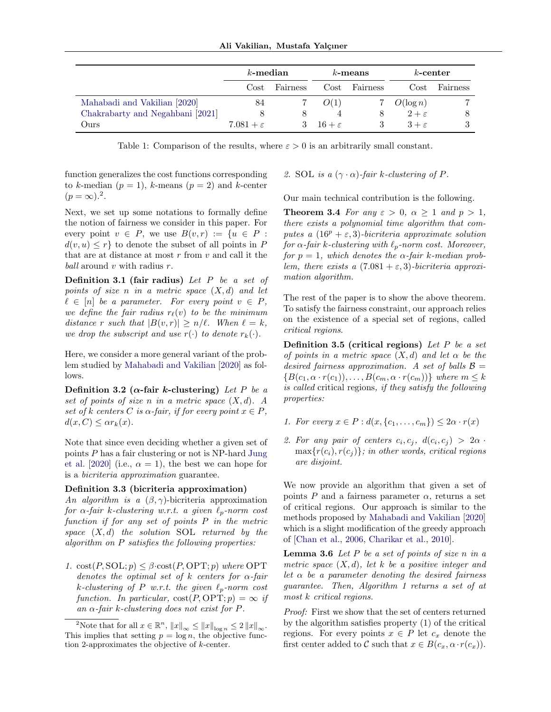|                                  | $k$ -median           |          | $k$ -means                 |          | $k$ -center       |          |
|----------------------------------|-----------------------|----------|----------------------------|----------|-------------------|----------|
|                                  | Cost                  | Fairness | Cost                       | Fairness | Cost              | Fairness |
| Mahabadi and Vakilian [2020]     | 84                    |          | O(1)                       |          | $O(\log n)$       |          |
| Chakrabarty and Negahbani [2021] |                       |          |                            |          | $2+\varepsilon$   |          |
| Ours                             | $7.081 + \varepsilon$ |          | $3 \quad 16 + \varepsilon$ |          | $3 + \varepsilon$ | 3        |

<span id="page-4-1"></span>Table 1: Comparison of the results, where  $\varepsilon > 0$  is an arbitrarily small constant.

function generalizes the cost functions corresponding to k-median  $(p = 1)$ , k-means  $(p = 2)$  and k-center  $(p = \infty)^2$  $(p = \infty)^2$ .

Next, we set up some notations to formally define the notion of fairness we consider in this paper. For every point  $v \in P$ , we use  $B(v,r) := \{u \in P :$  $d(v, u) \leq r$  to denote the subset of all points in P that are at distance at most  $r$  from  $v$  and call it the ball around  $v$  with radius  $r$ .

**Definition 3.1 (fair radius)** Let P be a set of points of size n in a metric space  $(X,d)$  and let  $\ell \in [n]$  be a parameter. For every point  $v \in P$ , we define the fair radius  $r_{\ell}(v)$  to be the minimum distance r such that  $|B(v, r)| \ge n/\ell$ . When  $\ell = k$ , we drop the subscript and use  $r(\cdot)$  to denote  $r_k(\cdot)$ .

Here, we consider a more general variant of the problem studied by [Mahabadi and Vakilian](#page-9-1) [\[2020\]](#page-9-1) as follows.

Definition 3.2 ( $\alpha$ -fair k-clustering) Let P be a set of points of size n in a metric space  $(X, d)$ . A set of k centers C is  $\alpha$ -fair, if for every point  $x \in P$ ,  $d(x, C) \leq \alpha r_k(x)$ .

Note that since even deciding whether a given set of points P has a fair clustering or not is NP-hard [Jung](#page-9-0) [et al.](#page-9-0) [\[2020\]](#page-9-0) (i.e.,  $\alpha = 1$ ), the best we can hope for is a bicriteria approximation guarantee.

#### Definition 3.3 (bicriteria approximation)

An algorithm is a  $(\beta, \gamma)$ -bicriteria approximation for  $\alpha$ -fair k-clustering w.r.t. a given  $\ell_p$ -norm cost function if for any set of points P in the metric space  $(X, d)$  the solution SOL returned by the algorithm on P satisfies the following properties:

1.  $cost(P, SOL; p) \leq \beta \cdot cost(P, OPT; p)$  where OPT denotes the optimal set of k centers for  $\alpha$ -fair k-clustering of P w.r.t. the given  $\ell_p$ -norm cost function. In particular,  $cost(P, OPT; p) = \infty$  if an  $\alpha$ -fair k-clustering does not exist for P.

#### 2. SOL is a  $(\gamma \cdot \alpha)$ -fair k-clustering of P.

<span id="page-4-0"></span>Our main technical contribution is the following.

**Theorem 3.4** For any  $\varepsilon > 0$ ,  $\alpha \ge 1$  and  $p > 1$ , there exists a polynomial time algorithm that computes a  $(16^p + \varepsilon, 3)$ -bicriteria approximate solution for  $\alpha$ -fair k-clustering with  $\ell_p$ -norm cost. Moreover, for  $p = 1$ , which denotes the  $\alpha$ -fair k-median problem, there exists a  $(7.081 + \varepsilon, 3)$ -bicriteria approximation algorithm.

The rest of the paper is to show the above theorem. To satisfy the fairness constraint, our approach relies on the existence of a special set of regions, called critical regions.

**Definition 3.5 (critical regions)** Let P be a set of points in a metric space  $(X, d)$  and let  $\alpha$  be the desired fairness approximation. A set of balls  $\mathcal{B} =$  ${B(c_1, \alpha \cdot r(c_1)), \ldots, B(c_m, \alpha \cdot r(c_m))\}$  where  $m \leq k$ is called critical regions, if they satisfy the following properties:

- <span id="page-4-3"></span>1. For every  $x \in P : d(x, \{c_1, \ldots, c_m\}) \leq 2\alpha \cdot r(x)$
- <span id="page-4-4"></span>2. For any pair of centers  $c_i, c_j, d(c_i, c_j) > 2\alpha$ .  $\max\{r(c_i), r(c_j)\}\$ ; in other words, critical regions are disjoint.

We now provide an algorithm that given a set of points P and a fairness parameter  $\alpha$ , returns a set of critical regions. Our approach is similar to the methods proposed by [Mahabadi and Vakilian](#page-9-1) [\[2020\]](#page-9-1) which is a slight modification of the greedy approach of [\[Chan et al.,](#page-8-18) [2006,](#page-8-18) [Charikar et al.,](#page-8-19) [2010\]](#page-8-19).

**Lemma 3.6** Let  $P$  be a set of points of size  $n$  in a metric space  $(X, d)$ , let k be a positive integer and let  $\alpha$  be a parameter denoting the desired fairness guarantee. Then, Algorithm [1](#page-5-0) returns a set of at most k critical regions.

Proof: First we show that the set of centers returned by the algorithm satisfies property [\(1\)](#page-4-3) of the critical regions. For every points  $x \in P$  let  $c_x$  denote the first center added to C such that  $x \in B(c_x, \alpha \cdot r(c_x)).$ 

<span id="page-4-2"></span><sup>&</sup>lt;sup>2</sup>Note that for all  $x \in \mathbb{R}^n$ ,  $||x||_{\infty} \leq ||x||_{\log n} \leq 2 ||x||_{\infty}$ . This implies that setting  $p = \log n$ , the objective function 2-approximates the objective of k-center.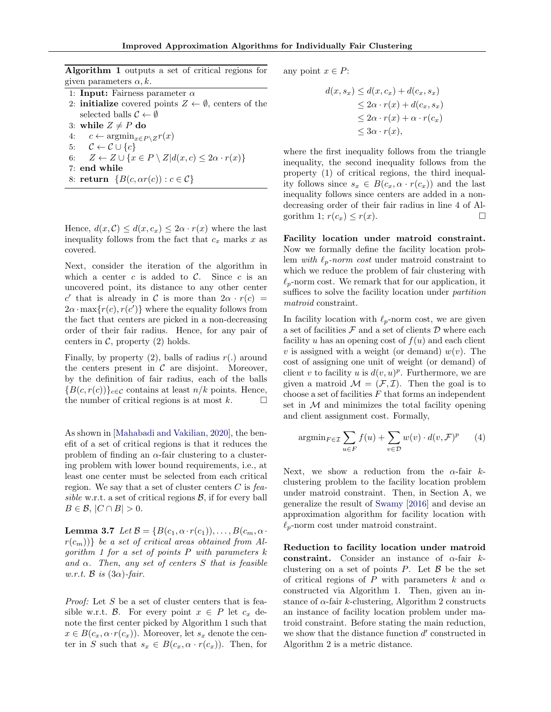<span id="page-5-0"></span>Algorithm 1 outputs a set of critical regions for given parameters  $\alpha, k$ .

- 1: Input: Fairness parameter  $\alpha$
- 2: **initialize** covered points  $Z \leftarrow \emptyset$ , centers of the selected balls  $C \leftarrow \emptyset$

3: while  $Z \neq P$  do

- <span id="page-5-1"></span>4:  $c \leftarrow \operatorname{argmin}_{x \in P \setminus Z} r(x)$
- 5:  $\mathcal{C} \leftarrow \mathcal{C} \cup \{c\}$ 6:  $Z \leftarrow Z \cup \{x \in P \setminus Z | d(x, c) \leq 2\alpha \cdot r(x)\}$
- 7: end while
- 8: return  ${B(c, \alpha r(c)) : c \in \mathcal{C}}$

Hence,  $d(x, C) \leq d(x, c_x) \leq 2\alpha \cdot r(x)$  where the last inequality follows from the fact that  $c_x$  marks x as covered.

Next, consider the iteration of the algorithm in which a center  $c$  is added to  $\mathcal{C}$ . Since  $c$  is an uncovered point, its distance to any other center c' that is already in C is more than  $2\alpha \cdot r(c)$  =  $2\alpha \cdot \max\{r(c), r(c')\}$  where the equality follows from the fact that centers are picked in a non-decreasing order of their fair radius. Hence, for any pair of centers in  $C$ , property  $(2)$  holds.

Finally, by property  $(2)$ , balls of radius  $r(.)$  around the centers present in  $\mathcal C$  are disjoint. Moreover, by the definition of fair radius, each of the balls  ${B(c, r(c))}_{c \in \mathcal{C}}$  contains at least  $n/k$  points. Hence, the number of critical regions is at most  $k$ .  $\Box$ 

As shown in [\[Mahabadi and Vakilian,](#page-9-1) [2020\]](#page-9-1), the benefit of a set of critical regions is that it reduces the problem of finding an  $\alpha$ -fair clustering to a clustering problem with lower bound requirements, i.e., at least one center must be selected from each critical region. We say that a set of cluster centers  $C$  is feasible w.r.t. a set of critical regions  $\mathcal{B}$ , if for every ball  $B \in \mathcal{B}$ ,  $|C \cap B| > 0$ .

<span id="page-5-2"></span>**Lemma 3.7** Let  $\mathcal{B} = \{B(c_1, \alpha \cdot r(c_1)), \ldots, B(c_m, \alpha \cdot r(c_m))\}$  $r(c_m)$ } be a set of critical areas obtained from Al-gorithm [1](#page-5-0) for a set of points  $P$  with parameters  $k$ and  $\alpha$ . Then, any set of centers S that is feasible w.r.t.  $\beta$  is  $(3\alpha)$ -fair.

Proof: Let S be a set of cluster centers that is feasible w.r.t. B. For every point  $x \in P$  let  $c_x$  denote the first center picked by Algorithm [1](#page-5-0) such that  $x \in B(c_x, \alpha \cdot r(c_x))$ . Moreover, let  $s_x$  denote the center in S such that  $s_x \in B(c_x, \alpha \cdot r(c_x))$ . Then, for any point  $x \in P$ :

$$
d(x, s_x) \le d(x, c_x) + d(c_x, s_x)
$$
  
\n
$$
\le 2\alpha \cdot r(x) + d(c_x, s_x)
$$
  
\n
$$
\le 2\alpha \cdot r(x) + \alpha \cdot r(c_x)
$$
  
\n
$$
\le 3\alpha \cdot r(x),
$$

where the first inequality follows from the triangle inequality, the second inequality follows from the property [\(1\)](#page-4-3) of critical regions, the third inequality follows since  $s_x \in B(c_x, \alpha \cdot r(c_x))$  and the last inequality follows since centers are added in a nondecreasing order of their fair radius in line [4](#page-5-1) of Al-gorithm [1;](#page-5-0)  $r(c_x) \leq r(x)$ .

Facility location under matroid constraint. Now we formally define the facility location problem with  $\ell_p$ -norm cost under matroid constraint to which we reduce the problem of fair clustering with  $\ell_p$ -norm cost. We remark that for our application, it suffices to solve the facility location under *partition* matroid constraint.

In facility location with  $\ell_p$ -norm cost, we are given a set of facilities  $\mathcal F$  and a set of clients  $\mathcal D$  where each facility u has an opening cost of  $f(u)$  and each client v is assigned with a weight (or demand)  $w(v)$ . The cost of assigning one unit of weight (or demand) of client v to facility u is  $d(v, u)^p$ . Furthermore, we are given a matroid  $\mathcal{M} = (\mathcal{F}, \mathcal{I})$ . Then the goal is to choose a set of facilities  $F$  that forms an independent set in  $M$  and minimizes the total facility opening and client assignment cost. Formally,

$$
\operatorname{argmin}_{F \in \mathcal{I}} \sum_{u \in F} f(u) + \sum_{v \in \mathcal{D}} w(v) \cdot d(v, \mathcal{F})^p \qquad (4)
$$

Next, we show a reduction from the  $\alpha$ -fair kclustering problem to the facility location problem under matroid constraint. Then, in Section [A,](#page-10-0) we generalize the result of [Swamy](#page-9-2) [\[2016\]](#page-9-2) and devise an approximation algorithm for facility location with  $\ell_p$ -norm cost under matroid constraint.

<span id="page-5-3"></span>Reduction to facility location under matroid constraint. Consider an instance of  $\alpha$ -fair kclustering on a set of points  $P$ . Let  $\beta$  be the set of critical regions of P with parameters k and  $\alpha$ constructed via Algorithm [1.](#page-5-0) Then, given an instance of  $\alpha$ -fair k-clustering, Algorithm [2](#page-6-0) constructs an instance of facility location problem under matroid constraint. Before stating the main reduction, we show that the distance function  $d'$  constructed in Algorithm [2](#page-6-0) is a metric distance.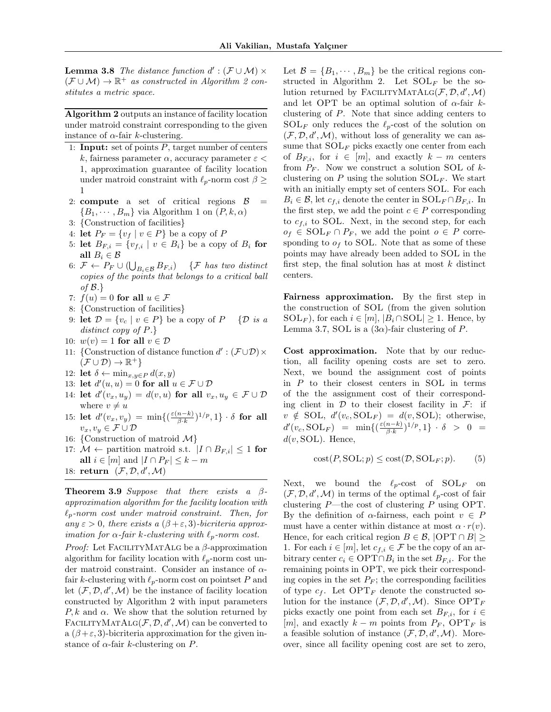**Lemma 3.8** The distance function  $d' : (\mathcal{F} \cup \mathcal{M}) \times$  $(\mathcal{F} \cup \mathcal{M}) \to \mathbb{R}^+$  as constructed in Algorithm [2](#page-6-0) constitutes a metric space.

<span id="page-6-0"></span>Algorithm 2 outputs an instance of facility location under matroid constraint corresponding to the given instance of  $\alpha$ -fair k-clustering.

- 1: **Input:** set of points  $P$ , target number of centers k, fairness parameter  $\alpha$ , accuracy parameter  $\varepsilon$  < 1, approximation guarantee of facility location under matroid constraint with  $\ell_p$ -norm cost  $\beta$  > 1
- 2: **compute** a set of critical regions  $\beta$  =  ${B_1, \cdots, B_m}$  ${B_1, \cdots, B_m}$  ${B_1, \cdots, B_m}$  via Algorithm 1 on  $(P, k, \alpha)$
- 3: {Construction of facilities}
- 4: let  $P_F = \{v_f \mid v \in P\}$  be a copy of P
- 5: let  $B_{F,i} = \{v_{f,i} \mid v \in B_i\}$  be a copy of  $B_i$  for all  $B_i \in \mathcal{B}$
- 6:  $\mathcal{F} \leftarrow P_F \cup (\bigcup_{B_i \in \mathcal{B}} B_{F,i})$  {F has two distinct copies of the points that belongs to a critical ball of  $\mathcal{B}.\}$
- 7:  $f(u) = 0$  for all  $u \in \mathcal{F}$
- 8: {Construction of facilities}
- 9: let  $\mathcal{D} = \{v_c \mid v \in P\}$  be a copy of  $P \{D \text{ is a}$ distinct copy of  $P.\}$
- 10:  $w(v) = 1$  for all  $v \in \mathcal{D}$
- 11: {Construction of distance function  $d'$ :  $(\mathcal{F} \cup \mathcal{D}) \times$  $(F \cup \mathcal{D}) \to \mathbb{R}^+$
- 12: let  $\delta \leftarrow \min_{x,y \in P} d(x,y)$
- 13: let  $d'(u, u) = 0$  for all  $u \in \mathcal{F} \cup \mathcal{D}$
- <span id="page-6-5"></span>14: let  $d'(v_x, u_y) = d(v, u)$  for all  $v_x, u_y \in \mathcal{F} \cup \mathcal{D}$ where  $v \neq u$
- 15: let  $d'(v_x, v_y) = \min\{(\frac{\varepsilon(n-k)}{\beta \cdot k})\}$  $\frac{n-k)}{\beta\cdot k}]^{1/p},1\}\cdot\delta$  for all  $v_x, v_y \in \mathcal{F} \cup \mathcal{D}$
- 16: {Construction of matroid  $\mathcal{M}$ }
- 17:  $M$  ← partition matroid s.t.  $|I \cap B_{F,i}| \leq 1$  for all  $i \in [m]$  and  $|I \cap P_F| \leq k - m$

18: return  $(\mathcal{F}, \mathcal{D}, d', \mathcal{M})$ 

<span id="page-6-2"></span>**Theorem 3.9** Suppose that there exists a  $\beta$ approximation algorithm for the facility location with  $\ell_p$ -norm cost under matroid constraint. Then, for any  $\varepsilon > 0$ , there exists a  $(\beta + \varepsilon, 3)$ -bicriteria approx*imation for*  $\alpha$ *-fair k-clustering with*  $\ell_p$ -norm cost.

*Proof:* Let FACILITYMATALG be a  $\beta$ -approximation algorithm for facility location with  $\ell_p$ -norm cost under matroid constraint. Consider an instance of  $\alpha$ fair k-clustering with  $\ell_p$ -norm cost on pointset P and let  $(\mathcal{F}, \mathcal{D}, d', \mathcal{M})$  be the instance of facility location constructed by Algorithm [2](#page-6-0) with input parameters  $P, k$  and  $\alpha$ . We show that the solution returned by FACILITYMATALG $(F, D, d', M)$  can be converted to a  $(\beta + \varepsilon, 3)$ -bicriteria approximation for the given instance of  $\alpha$ -fair k-clustering on P.

Let  $\mathcal{B} = \{B_1, \dots, B_m\}$  be the critical regions con-structed in Algorithm [2.](#page-6-0) Let  $SOL<sub>F</sub>$  be the solution returned by FACILITYMATALG $(F, D, d', M)$ and let OPT be an optimal solution of  $\alpha$ -fair kclustering of P. Note that since adding centers to  $SOL<sub>F</sub>$  only reduces the  $\ell_p$ -cost of the solution on  $(\mathcal{F}, \mathcal{D}, d', \mathcal{M})$ , without loss of generality we can assume that  $SOL<sub>F</sub>$  picks exactly one center from each of  $B_{F,i}$ , for  $i \in [m]$ , and exactly  $k - m$  centers from  $P_F$ . Now we construct a solution SOL of  $k$ clustering on  $P$  using the solution  $SOL<sub>F</sub>$ . We start with an initially empty set of centers SOL. For each  $B_i \in \mathcal{B}$ , let  $c_{f,i}$  denote the center in  $SOL_F \cap B_{F,i}$ . In the first step, we add the point  $c \in P$  corresponding to  $c_{f,i}$  to SOL. Next, in the second step, for each  $o_f \in SOL_F \cap P_F$ , we add the point  $o \in P$  corresponding to  $o<sub>f</sub>$  to SOL. Note that as some of these points may have already been added to SOL in the first step, the final solution has at most  $k$  distinct centers.

Fairness approximation. By the first step in the construction of SOL (from the given solution  $SOL_F$ ), for each  $i \in [m], |B_i \cap SOL| \geq 1$ . Hence, by Lemma [3.7,](#page-5-2) SOL is a  $(3\alpha)$ -fair clustering of P.

<span id="page-6-4"></span><span id="page-6-3"></span>Cost approximation. Note that by our reduction, all facility opening costs are set to zero. Next, we bound the assignment cost of points in  $P$  to their closest centers in SOL in terms of the the assignment cost of their corresponding client in  $\mathcal D$  to their closest facility in  $\mathcal F$ : if  $v \notin SOL, d'(v_c, SOL_F) = d(v, SOL);$  otherwise,  $d'(v_c, \text{SOL}_F) = \min\{(\frac{\varepsilon(n-k)}{\beta \cdot k})\}$  $\frac{n-k)}{\beta\cdot k}]^{1/p},1\} \,\cdot\, \delta \,\,\,> \,\,\,0 \,\,\,=\,\,$  $d(v, \text{SOL})$ . Hence,

<span id="page-6-1"></span>
$$
cost(P, SOL; p) \le cost(D, SOLF; p).
$$
 (5)

Next, we bound the  $\ell_p\text{-cost}$  of  $SOL_F$  on  $(\mathcal{F}, \mathcal{D}, d', \mathcal{M})$  in terms of the optimal  $\ell_p$ -cost of fair clustering P—the cost of clustering P using OPT. By the definition of  $\alpha$ -fairness, each point  $v \in P$ must have a center within distance at most  $\alpha \cdot r(v)$ . Hence, for each critical region  $B \in \mathcal{B}$ ,  $|\text{OPT} \cap B| \ge$ 1. For each  $i \in [m]$ , let  $c_{f,i} \in \mathcal{F}$  be the copy of an arbitrary center  $c_i \in \text{OPT} \cap B_i$  in the set  $B_{F,i}$ . For the remaining points in OPT, we pick their corresponding copies in the set  $P_F$ ; the corresponding facilities of type  $c_f$ . Let  $\text{OPT}_F$  denote the constructed solution for the instance  $(\mathcal{F}, \mathcal{D}, d', \mathcal{M})$ . Since  $\text{OPT}_F$ picks exactly one point from each set  $B_{F,i}$ , for  $i \in$ [m], and exactly  $k - m$  points from  $P_F$ , OPT<sub>F</sub> is a feasible solution of instance  $(\mathcal{F}, \mathcal{D}, d', \mathcal{M})$ . Moreover, since all facility opening cost are set to zero,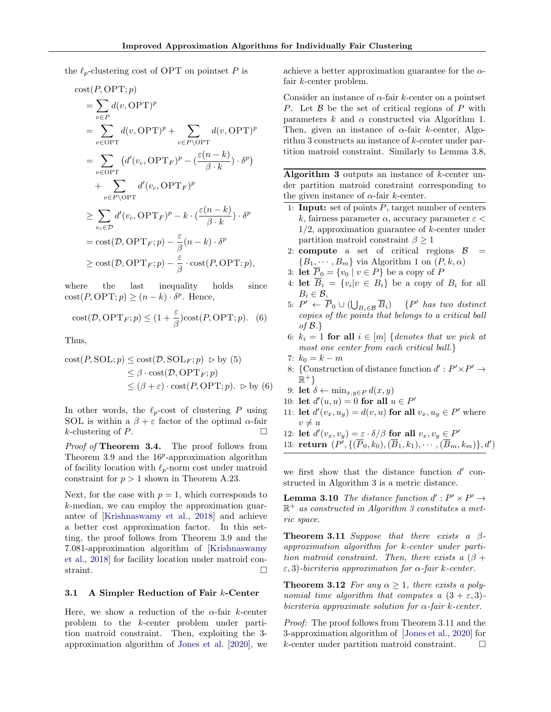the  $\ell_p$ -clustering cost of OPT on pointset P is

$$
\begin{split}\n\text{cost}(P, \text{OPT}; p) \\
&= \sum_{v \in P} d(v, \text{OPT})^p \\
&= \sum_{v \in \text{OPT}} d(v, \text{OPT})^p + \sum_{v \in P \setminus \text{OPT}} d(v, \text{OPT})^p \\
&= \sum_{v \in \text{OPT}} (d'(v_c, \text{OPT}_F)^p - (\frac{\varepsilon(n-k)}{\beta \cdot k}) \cdot \delta^p) \\
&+ \sum_{v \in P \setminus \text{OPT}} d'(v_c, \text{OPT}_F)^p \\
&\ge \sum_{v_c \in \mathcal{D}} d'(v_c, \text{OPT}_F)^p - k \cdot (\frac{\varepsilon(n-k)}{\beta \cdot k}) \cdot \delta^p \\
&= \text{cost}(\mathcal{D}, \text{OPT}_F; p) - \frac{\varepsilon}{\beta}(n-k) \cdot \delta^p \\
&\ge \text{cost}(\mathcal{D}, \text{OPT}_F; p) - \frac{\varepsilon}{\beta} \cdot \text{cost}(P, \text{OPT}; p),\n\end{split}
$$

where the last inequality holds since  $cost(P, OPT; p) \geq (n - k) \cdot \delta^p$ . Hence,

cost
$$
(D, \text{OPT}_F; p) \leq (1 + \frac{\varepsilon}{\beta})\text{cost}(P, \text{OPT}; p).
$$
 (6)

Thus,

cost
$$
(P, \text{SOL}; p) \le \text{cost}(\mathcal{D}, \text{SOL}_F; p) \ge \text{by (5)}
$$
  
 $\le \beta \cdot \text{cost}(\mathcal{D}, \text{OPT}_F; p)$   
 $\le (\beta + \varepsilon) \cdot \text{cost}(P, \text{OPT}; p). \ge \text{by (6)}$ 

In other words, the  $\ell_p$ -cost of clustering P using SOL is within a  $\beta+\varepsilon$  factor of the optimal  $\alpha\text{-fair}$ k-clustering of P.

Proof of Theorem [3.4.](#page-4-0) The proof follows from Theorem [3.9](#page-6-2) and the  $16^p$ -approximation algorithm of facility location with  $\ell_p$ -norm cost under matroid constraint for  $p > 1$  shown in Theorem [A.23.](#page-20-0)

Next, for the case with  $p = 1$ , which corresponds to k-median, we can employ the approximation guarantee of [\[Krishnaswamy et al.,](#page-9-11) [2018\]](#page-9-11) and achieve a better cost approximation factor. In this setting, the proof follows from Theorem [3.9](#page-6-2) and the 7.081-approximation algorithm of [\[Krishnaswamy](#page-9-11) [et al.,](#page-9-11) [2018\]](#page-9-11) for facility location under matroid constraint.

#### 3.1 A Simpler Reduction of Fair k-Center

Here, we show a reduction of the  $\alpha$ -fair k-center problem to the k-center problem under partition matroid constraint. Then, exploiting the 3 approximation algorithm of [Jones et al.](#page-9-12) [\[2020\]](#page-9-12), we achieve a better approximation guarantee for the  $\alpha$ fair k-center problem.

Consider an instance of  $\alpha$ -fair k-center on a pointset P. Let  $\beta$  be the set of critical regions of P with parameters  $k$  and  $\alpha$  constructed via Algorithm [1.](#page-5-0) Then, given an instance of  $\alpha$ -fair k-center, Algorithm [3](#page-7-2) constructs an instance of k-center under partition matroid constraint. Similarly to Lemma [3.8,](#page-5-3)

<span id="page-7-2"></span>Algorithm 3 outputs an instance of k-center under partition matroid constraint corresponding to the given instance of  $\alpha$ -fair k-center.

- 1: **Input:** set of points  $P$ , target number of centers k, fairness parameter  $\alpha$ , accuracy parameter  $\varepsilon$  $1/2$ , approximation guarantee of k-center under partition matroid constraint  $\beta \geq 1$
- 2: **compute** a set of critical regions  $\beta$  =  ${B_1, \cdots, B_m}$  ${B_1, \cdots, B_m}$  ${B_1, \cdots, B_m}$  via Algorithm 1 on  $(P, k, \alpha)$
- 3: **let**  $\overline{P}_0 = \{v_0 \mid v \in P\}$  be a copy of P
- 4: **let**  $B_i = \{v_i | v \in B_i\}$  be a copy of  $B_i$  for all  $B_i \in \mathcal{B}$ ,
- <span id="page-7-1"></span>5:  $P' \leftarrow \overline{P}_0 \cup (\bigcup_{B_i \in \mathcal{B}} \overline{B}_i)$  {P' has two distinct copies of the points that belongs to a critical ball of  $\mathcal{B}.\}$
- 6:  $k_i = 1$  for all  $i \in [m]$  {denotes that we pick at most one center from each critical ball.}
- 7:  $k_0 = k m$
- 8: {Construction of distance function  $d' : P' \times P' \rightarrow$  $\mathbb{R}^+$ }
- 9: let  $\delta \leftarrow \min_{x,y \in P} d(x,y)$
- 10: let  $d'(u, u) = 0$  for all  $u \in P'$
- 11: **let**  $d'(v_x, u_y) = d(v, u)$  for all  $v_x, u_y \in P'$  where  $v \neq u$
- 12: let  $d'(v_x, v_y) = \varepsilon \cdot \delta/\beta$  for all  $v_x, v_y \in P'$ 13: return  $(P', \{(\overline{P}_0, k_0), (\overline{B}_1, k_1), \cdots, (\overline{B}_m, k_m)\}, d')$

we first show that the distance function  $d'$  constructed in Algorithm [3](#page-7-2) is a metric distance.

**Lemma 3.10** The distance function  $d' : P' \times P' \rightarrow$  $\mathbb{R}^+$  as constructed in Algorithm [3](#page-7-2) constitutes a metric space.

<span id="page-7-3"></span>**Theorem 3.11** Suppose that there exists a  $\beta$ approximation algorithm for k-center under partition matroid constraint. Then, there exists a  $(\beta +$  $\varepsilon$ , 3)-bicriteria approximation for  $\alpha$ -fair k-center.

<span id="page-7-0"></span>**Theorem 3.12** For any  $\alpha \geq 1$ , there exists a polynomial time algorithm that computes a  $(3 + \varepsilon, 3)$ bicriteria approximate solution for  $\alpha$ -fair k-center.

Proof: The proof follows from Theorem [3.11](#page-7-3) and the 3-approximation algorithm of [\[Jones et al.,](#page-9-12) [2020\]](#page-9-12) for k-center under partition matroid constraint.  $\square$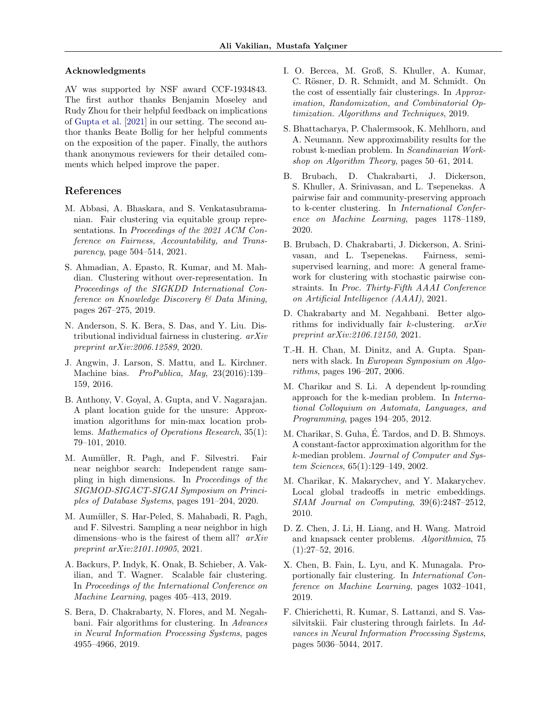#### Acknowledgments

AV was supported by NSF award CCF-1934843. The first author thanks Benjamin Moseley and Rudy Zhou for their helpful feedback on implications of [Gupta et al.](#page-9-22) [\[2021\]](#page-9-22) in our setting. The second author thanks Beate Bollig for her helpful comments on the exposition of the paper. Finally, the authors thank anonymous reviewers for their detailed comments which helped improve the paper.

### References

- <span id="page-8-3"></span>M. Abbasi, A. Bhaskara, and S. Venkatasubramanian. Fair clustering via equitable group representations. In Proceedings of the 2021 ACM Conference on Fairness, Accountability, and Transparency, page 504–514, 2021.
- <span id="page-8-7"></span>S. Ahmadian, A. Epasto, R. Kumar, and M. Mahdian. Clustering without over-representation. In Proceedings of the SIGKDD International Conference on Knowledge Discovery & Data Mining, pages 267–275, 2019.
- <span id="page-8-15"></span>N. Anderson, S. K. Bera, S. Das, and Y. Liu. Distributional individual fairness in clustering. arXiv preprint arXiv:2006.12589, 2020.
- <span id="page-8-1"></span>J. Angwin, J. Larson, S. Mattu, and L. Kirchner. Machine bias. ProPublica, May, 23(2016):139– 159, 2016.
- <span id="page-8-12"></span>B. Anthony, V. Goyal, A. Gupta, and V. Nagarajan. A plant location guide for the unsure: Approximation algorithms for min-max location problems. Mathematics of Operations Research, 35(1): 79–101, 2010.
- <span id="page-8-10"></span>M. Aumüller, R. Pagh, and F. Silvestri. Fair near neighbor search: Independent range sampling in high dimensions. In Proceedings of the SIGMOD-SIGACT-SIGAI Symposium on Principles of Database Systems, pages 191–204, 2020.
- <span id="page-8-11"></span>M. Aumüller, S. Har-Peled, S. Mahabadi, R. Pagh, and F. Silvestri. Sampling a near neighbor in high dimensions–who is the fairest of them all?  $arXiv$ preprint arXiv:2101.10905, 2021.
- <span id="page-8-4"></span>A. Backurs, P. Indyk, K. Onak, B. Schieber, A. Vakilian, and T. Wagner. Scalable fair clustering. In Proceedings of the International Conference on Machine Learning, pages 405–413, 2019.
- <span id="page-8-5"></span>S. Bera, D. Chakrabarty, N. Flores, and M. Negahbani. Fair algorithms for clustering. In Advances in Neural Information Processing Systems, pages 4955–4966, 2019.
- <span id="page-8-6"></span>I. O. Bercea, M. Groß, S. Khuller, A. Kumar, C. Rösner, D. R. Schmidt, and M. Schmidt. On the cost of essentially fair clusterings. In Approximation, Randomization, and Combinatorial Optimization. Algorithms and Techniques, 2019.
- <span id="page-8-13"></span>S. Bhattacharya, P. Chalermsook, K. Mehlhorn, and A. Neumann. New approximability results for the robust k-median problem. In Scandinavian Workshop on Algorithm Theory, pages 50–61, 2014.
- <span id="page-8-16"></span>B. Brubach, D. Chakrabarti, J. Dickerson, S. Khuller, A. Srinivasan, and L. Tsepenekas. A pairwise fair and community-preserving approach to k-center clustering. In International Conference on Machine Learning, pages 1178–1189, 2020.
- <span id="page-8-17"></span>B. Brubach, D. Chakrabarti, J. Dickerson, A. Srinivasan, and L. Tsepenekas. Fairness, semisupervised learning, and more: A general framework for clustering with stochastic pairwise constraints. In Proc. Thirty-Fifth AAAI Conference on Artificial Intelligence (AAAI), 2021.
- <span id="page-8-20"></span>D. Chakrabarty and M. Negahbani. Better algorithms for individually fair k-clustering. arXiv preprint arXiv:2106.12150, 2021.
- <span id="page-8-18"></span>T.-H. H. Chan, M. Dinitz, and A. Gupta. Spanners with slack. In European Symposium on Algorithms, pages 196–207, 2006.
- <span id="page-8-8"></span>M. Charikar and S. Li. A dependent lp-rounding approach for the k-median problem. In International Colloquium on Automata, Languages, and Programming, pages 194–205, 2012.
- <span id="page-8-0"></span>M. Charikar, S. Guha, E. Tardos, and D. B. Shmoys. ´ A constant-factor approximation algorithm for the k-median problem. Journal of Computer and System Sciences, 65(1):129–149, 2002.
- <span id="page-8-19"></span>M. Charikar, K. Makarychev, and Y. Makarychev. Local global tradeoffs in metric embeddings. SIAM Journal on Computing, 39(6):2487–2512, 2010.
- <span id="page-8-9"></span>D. Z. Chen, J. Li, H. Liang, and H. Wang. Matroid and knapsack center problems. Algorithmica, 75  $(1):27-52, 2016.$
- <span id="page-8-14"></span>X. Chen, B. Fain, L. Lyu, and K. Munagala. Proportionally fair clustering. In International Conference on Machine Learning, pages 1032–1041, 2019.
- <span id="page-8-2"></span>F. Chierichetti, R. Kumar, S. Lattanzi, and S. Vassilvitskii. Fair clustering through fairlets. In Advances in Neural Information Processing Systems, pages 5036–5044, 2017.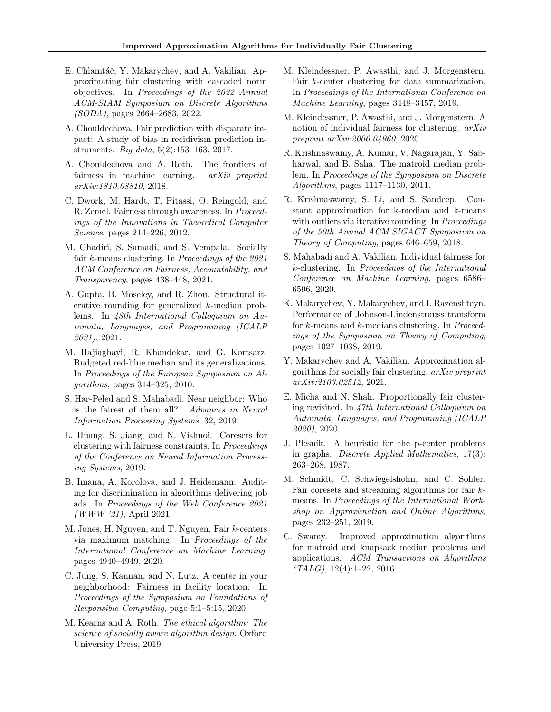- <span id="page-9-18"></span>E. Chlamtáč, Y. Makarychev, and A. Vakilian. Approximating fair clustering with cascaded norm objectives. In Proceedings of the 2022 Annual ACM-SIAM Symposium on Discrete Algorithms (SODA), pages 2664–2683, 2022.
- <span id="page-9-7"></span>A. Chouldechova. Fair prediction with disparate impact: A study of bias in recidivism prediction instruments. Big data, 5(2):153–163, 2017.
- <span id="page-9-8"></span>A. Chouldechova and A. Roth. The frontiers of fairness in machine learning. arXiv preprint arXiv:1810.08810, 2018.
- <span id="page-9-6"></span>C. Dwork, M. Hardt, T. Pitassi, O. Reingold, and R. Zemel. Fairness through awareness. In Proceedings of the Innovations in Theoretical Computer Science, pages 214–226, 2012.
- <span id="page-9-10"></span>M. Ghadiri, S. Samadi, and S. Vempala. Socially fair k-means clustering. In Proceedings of the 2021 ACM Conference on Fairness, Accountability, and Transparency, pages 438–448, 2021.
- <span id="page-9-22"></span>A. Gupta, B. Moseley, and R. Zhou. Structural iterative rounding for generalized k-median problems. In 48th International Colloquium on Automata, Languages, and Programming (ICALP 2021), 2021.
- <span id="page-9-15"></span>M. Hajiaghayi, R. Khandekar, and G. Kortsarz. Budgeted red-blue median and its generalizations. In Proceedings of the European Symposium on Algorithms, pages 314–325, 2010.
- <span id="page-9-16"></span>S. Har-Peled and S. Mahabadi. Near neighbor: Who is the fairest of them all? Advances in Neural Information Processing Systems, 32, 2019.
- <span id="page-9-14"></span>L. Huang, S. Jiang, and N. Vishnoi. Coresets for clustering with fairness constraints. In Proceedings of the Conference on Neural Information Processing Systems, 2019.
- <span id="page-9-5"></span>B. Imana, A. Korolova, and J. Heidemann. Auditing for discrimination in algorithms delivering job ads. In Proceedings of the Web Conference 2021 (WWW '21), April 2021.
- <span id="page-9-12"></span>M. Jones, H. Nguyen, and T. Nguyen. Fair k-centers via maximum matching. In Proceedings of the International Conference on Machine Learning, pages 4940–4949, 2020.
- <span id="page-9-0"></span>C. Jung, S. Kannan, and N. Lutz. A center in your neighborhood: Fairness in facility location. In Proceedings of the Symposium on Foundations of Responsible Computing, page 5:1–5:15, 2020.
- <span id="page-9-9"></span>M. Kearns and A. Roth. The ethical algorithm: The science of socially aware algorithm design. Oxford University Press, 2019.
- <span id="page-9-3"></span>M. Kleindessner, P. Awasthi, and J. Morgenstern. Fair k-center clustering for data summarization. In Proceedings of the International Conference on Machine Learning, pages 3448–3457, 2019.
- <span id="page-9-20"></span>M. Kleindessner, P. Awasthi, and J. Morgenstern. A notion of individual fairness for clustering. arXiv preprint arXiv:2006.04960, 2020.
- <span id="page-9-4"></span>R. Krishnaswamy, A. Kumar, V. Nagarajan, Y. Sabharwal, and B. Saha. The matroid median problem. In Proceedings of the Symposium on Discrete Algorithms, pages 1117–1130, 2011.
- <span id="page-9-11"></span>R. Krishnaswamy, S. Li, and S. Sandeep. Constant approximation for k-median and k-means with outliers via iterative rounding. In *Proceedings* of the 50th Annual ACM SIGACT Symposium on Theory of Computing, pages 646–659, 2018.
- <span id="page-9-1"></span>S. Mahabadi and A. Vakilian. Individual fairness for k-clustering. In Proceedings of the International Conference on Machine Learning, pages 6586– 6596, 2020.
- <span id="page-9-23"></span>K. Makarychev, Y. Makarychev, and I. Razenshteyn. Performance of Johnson-Lindenstrauss transform for k-means and k-medians clustering. In Proceedings of the Symposium on Theory of Computing, pages 1027–1038, 2019.
- <span id="page-9-17"></span>Y. Makarychev and A. Vakilian. Approximation algorithms for socially fair clustering. arXiv preprint arXiv:2103.02512, 2021.
- <span id="page-9-19"></span>E. Micha and N. Shah. Proportionally fair clustering revisited. In 47th International Colloquium on Automata, Languages, and Programming (ICALP 2020), 2020.
- <span id="page-9-21"></span>J. Plesník. A heuristic for the p-center problems in graphs. Discrete Applied Mathematics, 17(3): 263–268, 1987.
- <span id="page-9-13"></span>M. Schmidt, C. Schwiegelshohn, and C. Sohler. Fair coresets and streaming algorithms for fair  $k$ means. In Proceedings of the International Workshop on Approximation and Online Algorithms, pages 232–251, 2019.
- <span id="page-9-2"></span>C. Swamy. Improved approximation algorithms for matroid and knapsack median problems and applications. ACM Transactions on Algorithms  $(TALG), 12(4):1-22, 2016.$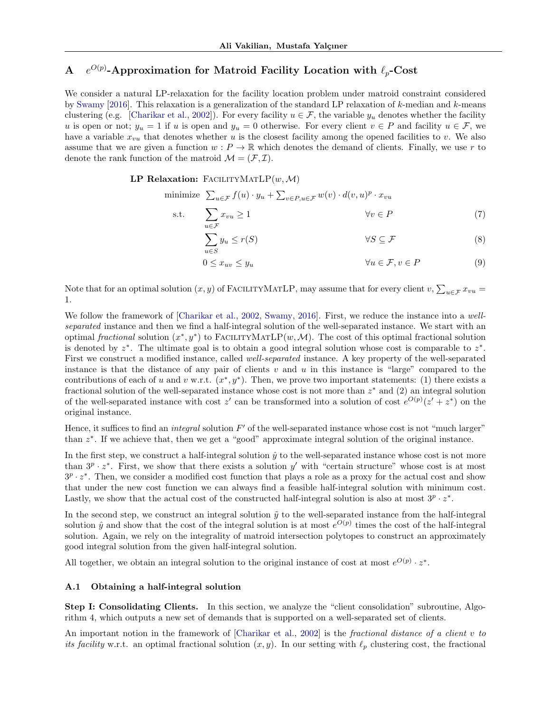#### <span id="page-10-0"></span> $\bf{A}$  $O(p)$ -Approximation for Matroid Facility Location with  $\ell_p\text{-}\mathbf{Cost}$

We consider a natural LP-relaxation for the facility location problem under matroid constraint considered by [Swamy](#page-9-2) [\[2016\]](#page-9-2). This relaxation is a generalization of the standard LP relaxation of k-median and k-means clustering (e.g. [\[Charikar et al.,](#page-8-0) [2002\]](#page-8-0)). For every facility  $u \in \mathcal{F}$ , the variable  $y_u$  denotes whether the facility u is open or not;  $y_u = 1$  if u is open and  $y_u = 0$  otherwise. For every client  $v \in P$  and facility  $u \in \mathcal{F}$ , we have a variable  $x_{vu}$  that denotes whether u is the closest facility among the opened facilities to v. We also assume that we are given a function  $w : P \to \mathbb{R}$  which denotes the demand of clients. Finally, we use r to denote the rank function of the matroid  $\mathcal{M} = (\mathcal{F}, \mathcal{I}).$ 

#### LP Relaxation: FACILITYMATLP $(w, \mathcal{M})$

minimize 
$$
\sum_{u \in \mathcal{F}} f(u) \cdot y_u + \sum_{v \in P, u \in \mathcal{F}} w(v) \cdot d(v, u)^p \cdot x_{vu}
$$
  
s.t.  $\sum_{v \in P} x_{vu} \ge 1$   $\forall v \in P$  (7)

<span id="page-10-2"></span>
$$
\sum_{u \in S}^{u \in \mathcal{F}} y_u \le r(S) \qquad \forall S \subseteq \mathcal{F} \qquad (8)
$$

<span id="page-10-3"></span><span id="page-10-1"></span>
$$
0 \le x_{uv} \le y_u \qquad \qquad \forall u \in \mathcal{F}, v \in P \tag{9}
$$

Note that for an optimal solution  $(x, y)$  of FACILITYMATLP, may assume that for every client  $v, \sum_{u \in \mathcal{F}} x_{vu} =$ 1.

We follow the framework of [\[Charikar et al.,](#page-8-0) [2002,](#page-8-0) [Swamy,](#page-9-2) [2016\]](#page-9-2). First, we reduce the instance into a wellseparated instance and then we find a half-integral solution of the well-separated instance. We start with an optimal fractional solution  $(x^*, y^*)$  to FACILITYMATLP $(w, \mathcal{M})$ . The cost of this optimal fractional solution is denoted by  $z^*$ . The ultimate goal is to obtain a good integral solution whose cost is comparable to  $z^*$ . First we construct a modified instance, called well-separated instance. A key property of the well-separated instance is that the distance of any pair of clients  $v$  and  $u$  in this instance is "large" compared to the contributions of each of u and v w.r.t.  $(x^*, y^*)$ . Then, we prove two important statements: (1) there exists a fractional solution of the well-separated instance whose cost is not more than  $z^*$  and  $(2)$  an integral solution of the well-separated instance with cost z' can be transformed into a solution of cost  $e^{O(p)}(z'+z^*)$  on the original instance.

Hence, it suffices to find an *integral* solution  $F'$  of the well-separated instance whose cost is not "much larger" than  $z^*$ . If we achieve that, then we get a "good" approximate integral solution of the original instance.

In the first step, we construct a half-integral solution  $\hat{y}$  to the well-separated instance whose cost is not more than  $3^p \cdot z^*$ . First, we show that there exists a solution y' with "certain structure" whose cost is at most  $3^p \cdot z^*$ . Then, we consider a modified cost function that plays a role as a proxy for the actual cost and show that under the new cost function we can always find a feasible half-integral solution with minimum cost. Lastly, we show that the actual cost of the constructed half-integral solution is also at most  $3^p \cdot z^*$ .

In the second step, we construct an integral solution  $\tilde{y}$  to the well-separated instance from the half-integral solution  $\hat{y}$  and show that the cost of the integral solution is at most  $e^{O(p)}$  times the cost of the half-integral solution. Again, we rely on the integrality of matroid intersection polytopes to construct an approximately good integral solution from the given half-integral solution.

All together, we obtain an integral solution to the original instance of cost at most  $e^{O(p)} \cdot z^*$ .

#### <span id="page-10-4"></span>A.1 Obtaining a half-integral solution

Step I: Consolidating Clients. In this section, we analyze the "client consolidation" subroutine, Algorithm [4,](#page-11-0) which outputs a new set of demands that is supported on a well-separated set of clients.

An important notion in the framework of [\[Charikar et al.,](#page-8-0) [2002\]](#page-8-0) is the fractional distance of a client v to its facility w.r.t. an optimal fractional solution  $(x, y)$ . In our setting with  $\ell_p$  clustering cost, the fractional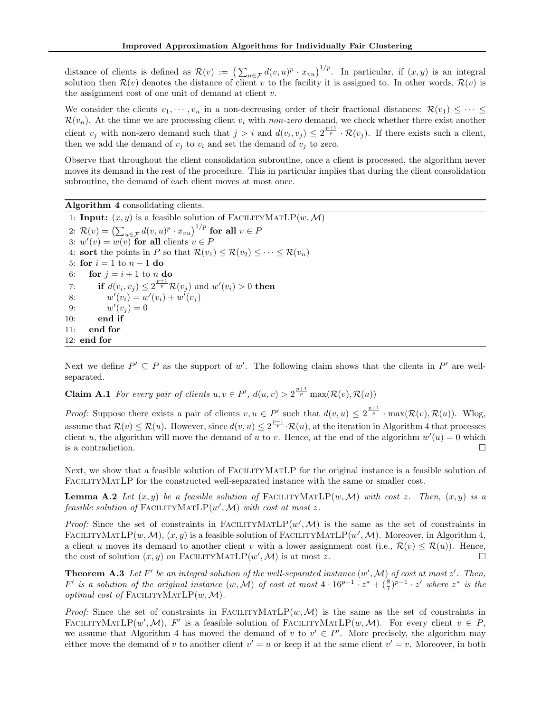distance of clients is defined as  $\mathcal{R}(v) := (\sum_{u \in \mathcal{F}} d(v, u)^p \cdot x_{vu})^{1/p}$ . In particular, if  $(x, y)$  is an integral solution then  $\mathcal{R}(v)$  denotes the distance of client v to the facility it is assigned to. In other words,  $\mathcal{R}(v)$  is the assignment cost of one unit of demand at client  $v$ .

We consider the clients  $v_1, \dots, v_n$  in a non-decreasing order of their fractional distances:  $\mathcal{R}(v_1) \leq \dots \leq$  $\mathcal{R}(v_n)$ . At the time we are processing client  $v_i$  with non-zero demand, we check whether there exist another client  $v_j$  with non-zero demand such that  $j > i$  and  $d(v_i, v_j) \leq 2^{\frac{p+1}{p}} \cdot \mathcal{R}(v_j)$ . If there exists such a client, then we add the demand of  $v_i$  to  $v_i$  and set the demand of  $v_i$  to zero.

Observe that throughout the client consolidation subroutine, once a client is processed, the algorithm never moves its demand in the rest of the procedure. This in particular implies that during the client consolidation subroutine, the demand of each client moves at most once.

<span id="page-11-0"></span>Algorithm 4 consolidating clients.

1: **Input:**  $(x, y)$  is a feasible solution of FACILITYMATLP $(w, \mathcal{M})$ 2:  $\mathcal{R}(v) = \left(\sum_{u \in \mathcal{F}} d(v, u)^p \cdot x_{vu}\right)^{1/p}$  for all  $v \in P$ 3:  $w'(v) = w(v)$  for all clients  $v \in P$ 4: sort the points in P so that  $\mathcal{R}(v_1) \leq \mathcal{R}(v_2) \leq \cdots \leq \mathcal{R}(v_n)$ 5: for  $i = 1$  to  $n - 1$  do 6: for  $j = i + 1$  to n do 7: if  $d(v_i, v_j) \leq 2^{\frac{p+1}{p}} \mathcal{R}(v_j)$  and  $w'(v_i) > 0$  then 8:  $w'(v_i) = w'(v_i) + w'(v_j)$ 9:  $w'(v_j) = 0$ 10: end if 11: end for 12: end for

<span id="page-11-1"></span>Next we define  $P' \subseteq P$  as the support of w'. The following claim shows that the clients in  $P'$  are wellseparated.

**Claim A.1** For every pair of clients  $u, v \in P'$ ,  $d(u, v) > 2^{\frac{p+1}{p}} \max(\mathcal{R}(v), \mathcal{R}(u))$ 

*Proof:* Suppose there exists a pair of clients  $v, u \in P'$  such that  $d(v, u) \leq 2^{\frac{p+1}{p}} \cdot \max(\mathcal{R}(v), \mathcal{R}(u))$ . Wlog, assume that  $\mathcal{R}(v) \leq \mathcal{R}(u)$ . However, since  $d(v, u) \leq 2^{\frac{p+1}{p}} \cdot \mathcal{R}(u)$ , at the iteration in Algorithm [4](#page-11-0) that processes client u, the algorithm will move the demand of u to v. Hence, at the end of the algorithm  $w'(u) = 0$  which is a contradiction.

Next, we show that a feasible solution of FACILITYMATLP for the original instance is a feasible solution of FACILITYMATLP for the constructed well-separated instance with the same or smaller cost.

<span id="page-11-2"></span>**Lemma A.2** Let  $(x, y)$  be a feasible solution of FACILITYMATLP $(w, \mathcal{M})$  with cost z. Then,  $(x, y)$  is a feasible solution of FACILITYMATLP $(w', M)$  with cost at most z.

Proof: Since the set of constraints in FACILITYMATLP $(w', M)$  is the same as the set of constraints in FACILITYMATLP $(w, \mathcal{M})$ ,  $(x, y)$  is a feasible solution of FACILITYMATLP $(w', \mathcal{M})$ . Moreover, in Algorithm [4,](#page-11-0) a client u moves its demand to another client v with a lower assignment cost (i.e.,  $\mathcal{R}(v) \leq \mathcal{R}(u)$ ). Hence, the cost of solution  $(x, y)$  on FACILITYMATLP $(w', M)$  is at most z.

<span id="page-11-3"></span>**Theorem A.3** Let F' be an integral solution of the well-separated instance  $(w', M)$  of cost at most  $z'$ . Then,  $F'$  is a solution of the original instance  $(w, \mathcal{M})$  of cost at most  $4 \cdot 16^{p-1} \cdot z^* + (\frac{8}{7})^{p-1} \cdot z'$  where  $z^*$  is the optimal cost of FACILITYMATLP $(w, \mathcal{M})$ .

*Proof:* Since the set of constraints in FACILITYMATLP $(w, \mathcal{M})$  is the same as the set of constraints in FACILITYMATLP $(w', M)$ , F' is a feasible solution of FACILITYMATLP $(w, M)$ . For every client  $v \in P$ , we assume that Algorithm [4](#page-11-0) has moved the demand of v to  $v' \in P'$ . More precisely, the algorithm may either move the demand of v to another client  $v' = u$  or keep it at the same client  $v' = v$ . Moreover, in both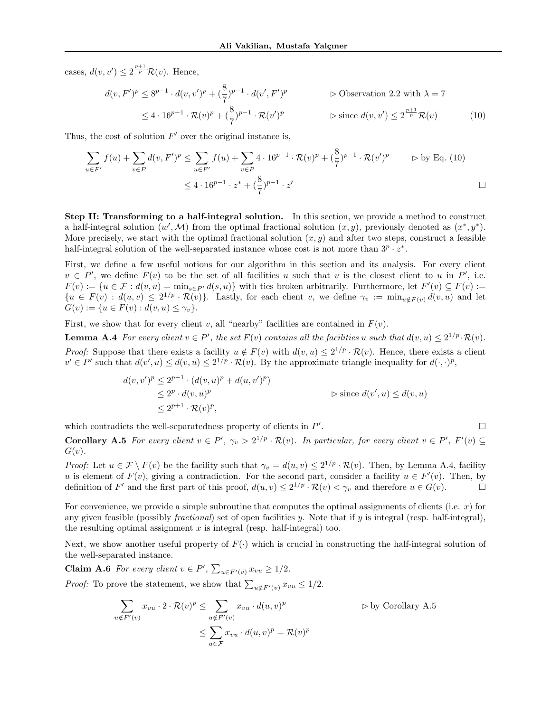cases,  $d(v, v') \leq 2^{\frac{p+1}{p}} \mathcal{R}(v)$ . Hence,

<span id="page-12-0"></span>
$$
d(v, F')^p \le 8^{p-1} \cdot d(v, v')^p + \left(\frac{8}{7}\right)^{p-1} \cdot d(v', F')^p \qquad \qquad \triangleright \text{Observation 2.2 with } \lambda = 7
$$
  

$$
\le 4 \cdot 16^{p-1} \cdot \mathcal{R}(v)^p + \left(\frac{8}{7}\right)^{p-1} \cdot \mathcal{R}(v')^p \qquad \qquad \triangleright \text{ since } d(v, v') \le 2^{\frac{p+1}{p}} \mathcal{R}(v) \qquad (10)
$$

Thus, the cost of solution  $F'$  over the original instance is,

$$
\sum_{u \in F'} f(u) + \sum_{v \in P} d(v, F')^p \le \sum_{u \in F'} f(u) + \sum_{v \in P} 4 \cdot 16^{p-1} \cdot \mathcal{R}(v)^p + \left(\frac{8}{7}\right)^{p-1} \cdot \mathcal{R}(v')^p \qquad \Rightarrow \text{by Eq. (10)}
$$
  

$$
\le 4 \cdot 16^{p-1} \cdot z^* + \left(\frac{8}{7}\right)^{p-1} \cdot z'
$$

Step II: Transforming to a half-integral solution. In this section, we provide a method to construct a half-integral solution  $(w', M)$  from the optimal fractional solution  $(x, y)$ , previously denoted as  $(x^*, y^*)$ . More precisely, we start with the optimal fractional solution  $(x, y)$  and after two steps, construct a feasible half-integral solution of the well-separated instance whose cost is not more than  $3^p \cdot z^*$ .

First, we define a few useful notions for our algorithm in this section and its analysis. For every client  $v \in P'$ , we define  $F(v)$  to be the set of all facilities u such that v is the closest client to u in P', i.e.  $F(v) := \{u \in \mathcal{F} : d(v, u) = \min_{s \in P'} d(s, u)\}\$  with ties broken arbitrarily. Furthermore, let  $F'(v) \subseteq F(v) :=$  ${u \in F(v) : d(u, v) \leq 2^{1/p} \cdot \mathcal{R}(v)}$ . Lastly, for each client v, we define  $\gamma_v := \min_{u \notin F(v)} d(v, u)$  and let  $G(v) := \{u \in F(v) : d(v, u) \leq \gamma_v\}.$ 

First, we show that for every client v, all "nearby" facilities are contained in  $F(v)$ .

**Lemma A.4** For every client  $v \in P'$ , the set  $F(v)$  contains all the facilities u such that  $d(v, u) \leq 2^{1/p} \cdot \mathcal{R}(v)$ . *Proof:* Suppose that there exists a facility  $u \notin F(v)$  with  $d(v, u) \leq 2^{1/p} \cdot \mathcal{R}(v)$ . Hence, there exists a client  $v' \in P'$  such that  $d(v', u) \leq d(v, u) \leq 2^{1/p} \cdot \mathcal{R}(v)$ . By the approximate triangle inequality for  $d(\cdot, \cdot)^p$ ,

<span id="page-12-1"></span>
$$
d(v, v')^{p} \le 2^{p-1} \cdot (d(v, u)^{p} + d(u, v')^{p})
$$
  
\n
$$
\le 2^{p} \cdot d(v, u)^{p}
$$
  
\n
$$
\le 2^{p+1} \cdot \mathcal{R}(v)^{p},
$$
  
\n
$$
\Rightarrow \text{ since } d(v', u) \le d(v, u)
$$

which contradicts the well-separatedness property of clients in  $P'$ . В последните последните последните и последните и последните последните и последните и последните и последни<br>В последните последните последните последните последните последните последните последните последните последнит

<span id="page-12-2"></span>**Corollary A.5** For every client  $v \in P'$ ,  $\gamma_v > 2^{1/p} \cdot \mathcal{R}(v)$ . In particular, for every client  $v \in P'$ ,  $F'(v) \subseteq$  $G(v)$ .

Proof: Let  $u \in \mathcal{F} \setminus F(v)$  be the facility such that  $\gamma_v = d(u, v) \leq 2^{1/p} \cdot \mathcal{R}(v)$ . Then, by Lemma [A.4,](#page-12-1) facility u is element of  $F(v)$ , giving a contradiction. For the second part, consider a facility  $u \in F'(v)$ . Then, by definition of F' and the first part of this proof,  $d(u, v) \leq 2^{1/p} \cdot \mathcal{R}(v) < \gamma_v$  and therefore  $u \in G(v)$ .

For convenience, we provide a simple subroutine that computes the optimal assignments of clients (i.e. x) for any given feasible (possibly *fractional*) set of open facilities y. Note that if y is integral (resp. half-integral), the resulting optimal assignment  $x$  is integral (resp. half-integral) too.

Next, we show another useful property of  $F(\cdot)$  which is crucial in constructing the half-integral solution of the well-separated instance.

**Claim A.6** For every client  $v \in P'$ ,  $\sum_{u \in F'(v)} x_{vu} \geq 1/2$ . *Proof:* To prove the statement, we show that  $\sum_{u \notin F'(v)} x_{vu} \leq 1/2$ .

<span id="page-12-3"></span>
$$
\sum_{u \notin F'(v)} x_{vu} \cdot 2 \cdot \mathcal{R}(v)^p \le \sum_{u \notin F'(v)} x_{vu} \cdot d(u,v)^p \qquad \qquad \triangleright \text{ by Corollary A.5}
$$
\n
$$
\le \sum_{u \in \mathcal{F}} x_{vu} \cdot d(u,v)^p = \mathcal{R}(v)^p
$$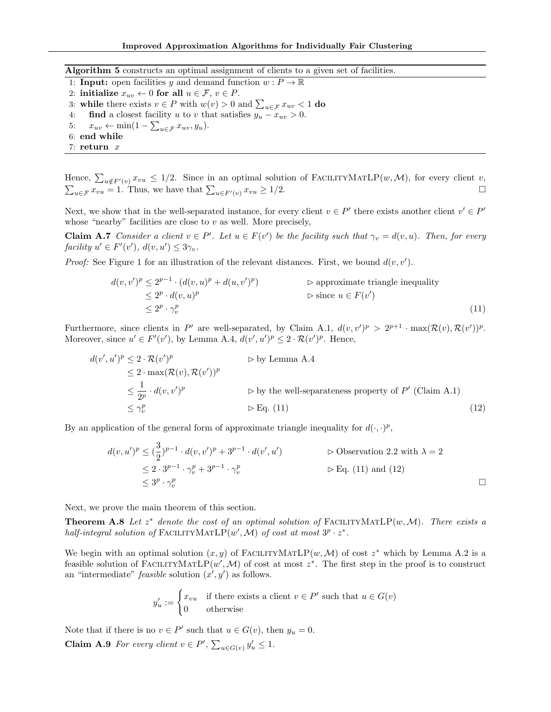<span id="page-13-2"></span>Algorithm 5 constructs an optimal assignment of clients to a given set of facilities.

- 1: **Input:** open facilities y and demand function  $w : P \to \mathbb{R}$
- 2: initialize  $x_{uv} \leftarrow 0$  for all  $u \in \mathcal{F}$ ,  $v \in P$ .
- 3: while there exists  $v \in P$  with  $w(v) > 0$  and  $\sum_{u \in \mathcal{F}} x_{uv} < 1$  do
- <span id="page-13-3"></span>4: **find** a closest facility u to v that satisfies  $y_u - x_{uv} > 0$ .
- 5:  $x_{uv} \leftarrow \min(1 \sum_{u \in \mathcal{F}} x_{uv}, y_u).$
- 6: end while
- 7: return x

Hence,  $\sum_{u \notin F'(v)} x_{vu} \leq 1/2$ . Since in an optimal solution of FACILITYMATLP $(w, \mathcal{M})$ , for every client v,  $\sum_{u \in \mathcal{F}} x_{vu} = 1$ . Thus, we have that  $\sum_{u \in F'(v)} x_{vu} \ge 1/2$ .

Next, we show that in the well-separated instance, for every client  $v \in P'$  there exists another client  $v' \in P'$ whose "nearby" facilities are close to  $v$  as well. More precisely,

**Claim A.7** Consider a client  $v \in P'$ . Let  $u \in F(v')$  be the facility such that  $\gamma_v = d(v, u)$ . Then, for every facility  $u' \in F'(v')$ ,  $d(v, u') \leq 3\gamma_v$ .

*Proof:* See Figure [1](#page-14-0) for an illustration of the relevant distances. First, we bound  $d(v, v')$ .

<span id="page-13-5"></span><span id="page-13-0"></span>
$$
d(v, v')^{p} \le 2^{p-1} \cdot (d(v, u)^{p} + d(u, v')^{p})
$$
  
\n
$$
\le 2^{p} \cdot d(v, u)^{p}
$$
  
\n
$$
\le 2^{p} \cdot \gamma_{v}^{p}
$$
  
\n
$$
\le 2^{p} \cdot \gamma_{v}^{p}
$$
  
\n
$$
(11)
$$

Furthermore, since clients in P' are well-separated, by Claim [A.1,](#page-11-1)  $d(v, v')^p > 2^{p+1} \cdot \max(\mathcal{R}(v), \mathcal{R}(v'))^p$ . Moreover, since  $u' \in F'(v')$ , by Lemma [A.4,](#page-12-1)  $d(v', u')^p \leq 2 \cdot \mathcal{R}(v')^p$ . Hence,

$$
d(v', u')^{p} \leq 2 \cdot \mathcal{R}(v')^{p}
$$
  
\n
$$
\leq 2 \cdot \max(\mathcal{R}(v), \mathcal{R}(v'))^{p}
$$
  
\n
$$
\leq \frac{1}{2^{p}} \cdot d(v, v')^{p}
$$
  
\n
$$
\leq \gamma_{v}^{p}
$$
  
\n
$$
\Rightarrow \text{By Lemma A.4}
$$
  
\n
$$
\Rightarrow \text{by the well-separateness property of } P' \text{ (Claim A.1)}
$$
  
\n
$$
\leq \gamma_{v}^{p}
$$
  
\n
$$
(12)
$$

By an application of the general form of approximate triangle inequality for  $d(\cdot, \cdot)^p$ ,

<span id="page-13-1"></span>
$$
d(v, u')^{p} \leq (\frac{3}{2})^{p-1} \cdot d(v, v')^{p} + 3^{p-1} \cdot d(v', u')
$$
  
\n
$$
\leq 2 \cdot 3^{p-1} \cdot \gamma_{v}^{p} + 3^{p-1} \cdot \gamma_{v}^{p}
$$
  
\n
$$
\leq 3^{p} \cdot \gamma_{v}^{p}
$$
  
\n
$$
\leq 3^{p} \cdot \gamma_{v}^{p}
$$
  
\n
$$
\square
$$

Next, we prove the main theorem of this section.

<span id="page-13-6"></span>**Theorem A.8** Let  $z^*$  denote the cost of an optimal solution of FACILITYMATLP $(w, \mathcal{M})$ . There exists a half-integral solution of FACILITYMATLP $(w', \overline{\mathcal{M}})$  of cost at most  $3^p \cdot z^*$ .

We begin with an optimal solution  $(x, y)$  of FACILITYMATLP $(w, \mathcal{M})$  of cost  $z^*$  which by Lemma [A.2](#page-11-2) is a feasible solution of FACILITYMATLP $(w', \mathcal{M})$  of cost at most  $z^*$ . The first step in the proof is to construct an "intermediate" *feasible* solution  $(x', y')$  as follows.

<span id="page-13-4"></span>
$$
y'_u := \begin{cases} x_{vu} & \text{if there exists a client } v \in P' \text{ such that } u \in G(v) \\ 0 & \text{otherwise} \end{cases}
$$

Note that if there is no  $v \in P'$  such that  $u \in G(v)$ , then  $y_u = 0$ . **Claim A.9** For every client  $v \in P'$ ,  $\sum_{u \in G(v)} y'_u \leq 1$ .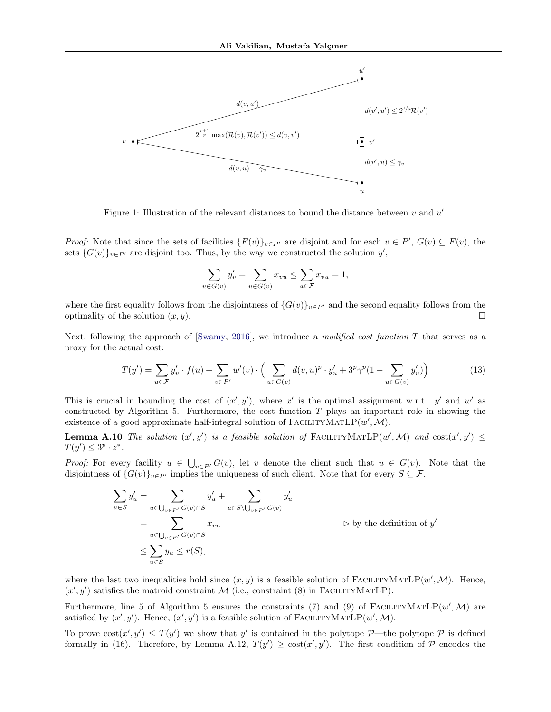

<span id="page-14-0"></span>Figure 1: Illustration of the relevant distances to bound the distance between  $v$  and  $u'$ .

*Proof:* Note that since the sets of facilities  $\{F(v)\}_{v\in P'}$  are disjoint and for each  $v \in P'$ ,  $G(v) \subseteq F(v)$ , the sets  $\{G(v)\}_{v\in P'}$  are disjoint too. Thus, by the way we constructed the solution  $y'$ ,

$$
\sum_{u \in G(v)} y'_v = \sum_{u \in G(v)} x_{vu} \le \sum_{u \in \mathcal{F}} x_{vu} = 1,
$$

where the first equality follows from the disjointness of  $\{G(v)\}_{v\in P'}$  and the second equality follows from the optimality of the solution  $(x, y)$ .

Next, following the approach of [\[Swamy,](#page-9-2) [2016\]](#page-9-2), we introduce a modified cost function  $T$  that serves as a proxy for the actual cost:

$$
T(y') = \sum_{u \in \mathcal{F}} y'_u \cdot f(u) + \sum_{v \in P'} w'(v) \cdot \left( \sum_{u \in G(v)} d(v, u)^p \cdot y'_u + 3^p \gamma^p (1 - \sum_{u \in G(v)} y'_u) \right)
$$
(13)

This is crucial in bounding the cost of  $(x', y')$ , where x' is the optimal assignment w.r.t. y' and w' as constructed by Algorithm [5.](#page-13-2) Furthermore, the cost function  $T$  plays an important role in showing the existence of a good approximate half-integral solution of FACILITYMATLP $(w', M)$ .

<span id="page-14-1"></span>**Lemma A.10** The solution  $(x', y')$  is a feasible solution of FACILITYMATLP $(w', M)$  and  $cost(x', y') \le$  $T(y') \leq 3^p \cdot z^*$ .

*Proof:* For every facility  $u \in \bigcup_{v \in P'} G(v)$ , let v denote the client such that  $u \in G(v)$ . Note that the disjointness of  $\{G(v)\}_{v\in P'}$  implies the uniqueness of such client. Note that for every  $S \subseteq \mathcal{F}$ ,

$$
\sum_{u \in S} y'_u = \sum_{u \in \bigcup_{v \in P'} G(v) \cap S} y'_u + \sum_{u \in S \setminus \bigcup_{v \in P'} G(v)} y'_u
$$
\n
$$
= \sum_{u \in \bigcup_{v \in P'} G(v) \cap S} x_{vu} \qquad \qquad \triangleright \text{ by the definition of } y'
$$
\n
$$
\leq \sum_{u \in S} y_u \leq r(S),
$$

where the last two inequalities hold since  $(x, y)$  is a feasible solution of FACILITYMATLP $(w', \mathcal{M})$ . Hence,  $(x', y')$  satisfies the matroid constraint M (i.e., constraint [\(8\)](#page-10-1) in FACILITYMATLP).

Furthermore, line [5](#page-13-2) of Algorithm 5 ensures the constraints [\(7\)](#page-10-2) and [\(9\)](#page-10-3) of FACILITYMATLP $(w', M)$  are satisfied by  $(x', y')$ . Hence,  $(x', y')$  is a feasible solution of FACILITYMATLP $(w', M)$ .

To prove  $\text{cost}(x', y') \leq T(y')$  we show that y' is contained in the polytope  $\mathcal{P}$ —the polytope  $\mathcal{P}$  is defined formally in [\(16\)](#page-15-0). Therefore, by Lemma [A.12,](#page-15-1)  $T(y') \geq \cos(x', y')$ . The first condition of P encodes the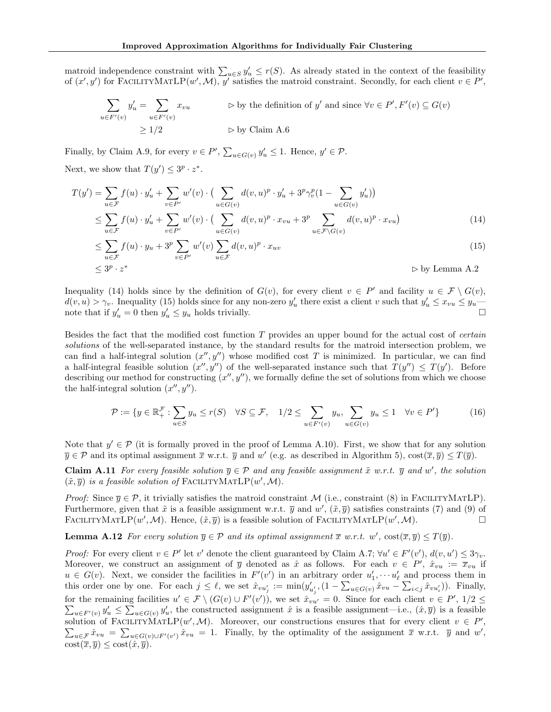matroid independence constraint with  $\sum_{u\in S} y'_u \leq r(S)$ . As already stated in the context of the feasibility of  $(x', y')$  for FACILITYMATLP $(w', M)$ , y' satisfies the matroid constraint. Secondly, for each client  $v \in P'$ ,

$$
\sum_{u \in F'(v)} y'_u = \sum_{u \in F'(v)} x_{vu} \qquad \Rightarrow \text{ by the definition of } y' \text{ and since } \forall v \in P', F'(v) \subseteq G(v)
$$

$$
\geq 1/2 \qquad \Rightarrow \text{ by Claim A.6}
$$

Finally, by Claim [A.9,](#page-13-4) for every  $v \in P'$ ,  $\sum_{u \in G(v)} y'_u \leq 1$ . Hence,  $y' \in \mathcal{P}$ . Next, we show that  $T(y') \leq 3^p \cdot z^*$ .

$$
T(y') = \sum_{u \in \mathcal{F}} f(u) \cdot y'_u + \sum_{v \in P'} w'(v) \cdot \left( \sum_{u \in G(v)} d(v, u)^p \cdot y'_u + 3^p \gamma_v^p (1 - \sum_{u \in G(v)} y'_u) \right)
$$
  
 
$$
\leq \sum_{u \in \mathcal{F}} f(u) \cdot y'_u + \sum_{v \in P'} w'(v) \cdot \left( \sum_{u \in G(v)} d(v, u)^p \cdot x_{vu} + 3^p \sum_{u \in \mathcal{F} \backslash G(v)} d(v, u)^p \cdot x_{vu} \right) \tag{14}
$$

$$
\leq \sum_{u \in \mathcal{F}} f(u) \cdot y_u + 3^p \sum_{v \in P'} w'(v) \sum_{u \in \mathcal{F}} d(v, u)^p \cdot x_{uv}
$$
\n
$$
\tag{15}
$$

<span id="page-15-3"></span><span id="page-15-2"></span>
$$
\leq 3^p \cdot z^* \qquad \qquad \triangleright \text{ by Lemma A.2}
$$

Inequality [\(14\)](#page-15-2) holds since by the definition of  $G(v)$ , for every client  $v \in P'$  and facility  $u \in \mathcal{F} \setminus G(v)$ ,  $d(v, u) > \gamma_v$ . Inequality [\(15\)](#page-15-3) holds since for any non-zero  $y'_u$  there exist a client v such that  $y'_u \leq x_{vu} \leq y_u$ note that if  $y'_u = 0$  then  $y'_u \leq y_u$  holds trivially.

Besides the fact that the modified cost function T provides an upper bound for the actual cost of certain solutions of the well-separated instance, by the standard results for the matroid intersection problem, we can find a half-integral solution  $(x'', y'')$  whose modified cost T is minimized. In particular, we can find a half-integral feasible solution  $(x'', y'')$  of the well-separated instance such that  $T(y'') \leq T(y')$ . Before describing our method for constructing  $(x'', y'')$ , we formally define the set of solutions from which we choose the half-integral solution  $(x'', y'')$ .

<span id="page-15-0"></span>
$$
\mathcal{P} := \{ y \in \mathbb{R}_+^{\mathcal{F}} : \sum_{u \in S} y_u \le r(S) \quad \forall S \subseteq \mathcal{F}, \quad 1/2 \le \sum_{u \in F'(v)} y_u, \sum_{u \in G(v)} y_u \le 1 \quad \forall v \in P' \}
$$
(16)

Note that  $y' \in \mathcal{P}$  (it is formally proved in the proof of Lemma [A.10\)](#page-14-1). First, we show that for any solution  $\overline{y} \in \mathcal{P}$  and its optimal assignment  $\overline{x}$  w.r.t.  $\overline{y}$  and  $w'$  (e.g. as described in Algorithm [5\)](#page-13-2),  $\cos(\overline{x}, \overline{y}) \leq T(\overline{y})$ .

<span id="page-15-4"></span>**Claim A.11** For every feasible solution  $\overline{y} \in \mathcal{P}$  and any feasible assignment  $\tilde{x}$  w.r.t.  $\overline{y}$  and w', the solution  $(\tilde{x}, \overline{y})$  is a feasible solution of FACILITYMATLP $(w', \mathcal{M})$ .

*Proof:* Since  $\overline{\eta} \in \mathcal{P}$ , it trivially satisfies the matroid constraint M (i.e., constraint [\(8\)](#page-10-1) in FACILITYMATLP). Furthermore, given that  $\tilde{x}$  is a feasible assignment w.r.t.  $\overline{y}$  and  $w'$ ,  $(\tilde{x}, \overline{y})$  satisfies constraints [\(7\)](#page-10-2) and [\(9\)](#page-10-3) of FACILITYMATLP $(w', M)$ . Hence,  $(\tilde{x}, \overline{y})$  is a feasible solution of FACILITYMATLP $(w', M)$ .

<span id="page-15-1"></span>**Lemma A.12** For every solution  $\overline{y} \in \mathcal{P}$  and its optimal assignment  $\overline{x}$  w.r.t. w',  $\text{cost}(\overline{x}, \overline{y}) \leq T(\overline{y})$ .

*Proof:* For every client  $v \in P'$  let  $v'$  denote the client guaranteed by Claim [A.7;](#page-13-5)  $\forall u' \in F'(v')$ ,  $d(v, u') \leq 3\gamma_v$ . Moreover, we construct an assignment of  $\overline{y}$  denoted as  $\hat{x}$  as follows. For each  $v \in P'$ ,  $\hat{x}_{vu} := \overline{x}_{vu}$  if  $u \in G(v)$ . Next, we consider the facilities in  $F'(v')$  in an arbitrary order  $u'_1, \dots, u'_{\ell}$  and process them in this order one by one. For each  $j \leq \ell$ , we set  $\hat{x}_{vu'_j} := \min(y'_{u'_j}, (1 - \sum_{u \in G(v)} \hat{x}_{vu} - \sum_{i < j} \hat{x}_{vu'_i})$ . Finally, for the remaining facilities  $u' \in \mathcal{F} \setminus (G(v) \cup F'(v'))$ , we set  $\hat{x}_{vu'} = 0$ . Since for each client  $v \in P'$ P  $, 1/2 \leq$  $u \in F'(v)$   $y'_u \leq \sum_{u \in G(v)} y'_u$ , the constructed assignment  $\hat{x}$  is a feasible assignment—i.e.,  $(\hat{x}, \overline{y})$  is a feasible solution of FACILITYMATLP $(w', M)$ . Moreover, our constructions ensures that for every client  $v \in P'$ solution of FACILITYMATLP(w', M). Moreover, our constructions ensures that for every client  $v \in P'$ ,<br>  $\sum_{u \in \mathcal{F}} \hat{x}_{vu} = \sum_{u \in G(v) \cup F'(v')} \hat{x}_{vu} = 1$ . Finally, by the optimality of the assignment  $\overline{x}$  w.r.t.  $\overline{y}$  and  $\text{cost}(\overline{x}, \overline{y}) \leq \text{cost}(\hat{x}, \overline{y}).$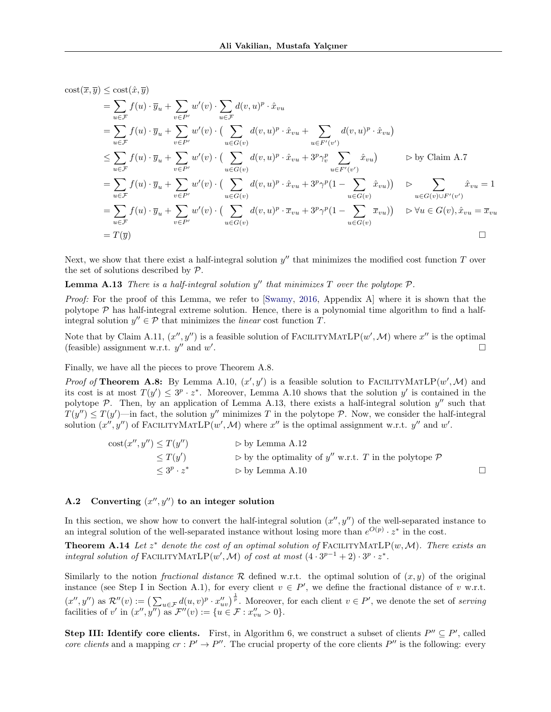$\mathrm{cost}(\overline{x}, \overline{y}) \leq \mathrm{cost}(\hat{x}, \overline{y})$ 

$$
\begin{split}\n&= \sum_{u \in \mathcal{F}} f(u) \cdot \overline{y}_u + \sum_{v \in P'} w'(v) \cdot \sum_{u \in \mathcal{F}} d(v, u)^p \cdot \hat{x}_{vu} \\
&= \sum_{u \in \mathcal{F}} f(u) \cdot \overline{y}_u + \sum_{v \in P'} w'(v) \cdot \left( \sum_{u \in G(v)} d(v, u)^p \cdot \hat{x}_{vu} + \sum_{u \in F'(v')} d(v, u)^p \cdot \hat{x}_{vu} \right) \\
&\leq \sum_{u \in \mathcal{F}} f(u) \cdot \overline{y}_u + \sum_{v \in P'} w'(v) \cdot \left( \sum_{u \in G(v)} d(v, u)^p \cdot \hat{x}_{vu} + 3^p \gamma_v^p \sum_{u \in F'(v')} \hat{x}_{vu} \right) \qquad \triangleright \text{ by Claim A.7} \\
&= \sum_{u \in \mathcal{F}} f(u) \cdot \overline{y}_u + \sum_{v \in P'} w'(v) \cdot \left( \sum_{u \in G(v)} d(v, u)^p \cdot \hat{x}_{vu} + 3^p \gamma^p (1 - \sum_{u \in G(v)} \hat{x}_{vu}) \right) \qquad \triangleright \sum_{u \in G(v) \cup F'(v')} \hat{x}_{vu} = 1 \\
&= \sum_{u \in \mathcal{F}} f(u) \cdot \overline{y}_u + \sum_{v \in P'} w'(v) \cdot \left( \sum_{u \in G(v)} d(v, u)^p \cdot \overline{x}_{vu} + 3^p \gamma^p (1 - \sum_{u \in G(v)} \overline{x}_{vu}) \right) \qquad \triangleright \forall u \in G(v), \hat{x}_{vu} = \overline{x}_{vu} \\
&= T(\overline{y}) \qquad \qquad \square\n\end{split}
$$

<span id="page-16-0"></span>Next, we show that there exist a half-integral solution  $y''$  that minimizes the modified cost function  $T$  over the set of solutions described by P.

# **Lemma A.13** There is a half-integral solution  $y''$  that minimizes T over the polytope  $P$ .

Proof: For the proof of this Lemma, we refer to [\[Swamy,](#page-9-2) [2016,](#page-9-2) Appendix A] where it is shown that the polytope  $P$  has half-integral extreme solution. Hence, there is a polynomial time algorithm to find a halfintegral solution  $y'' \in \mathcal{P}$  that minimizes the *linear* cost function T.

Note that by Claim [A.11,](#page-15-4)  $(x'', y'')$  is a feasible solution of FACILITYMATLP $(w', M)$  where  $x''$  is the optimal (feasible) assignment w.r.t.  $y''$  and  $w'$ .

Finally, we have all the pieces to prove Theorem [A.8.](#page-13-6)

*Proof of* Theorem [A.8:](#page-13-6) By Lemma [A.10,](#page-14-1)  $(x', y')$  is a feasible solution to FACILITYMATLP $(w', M)$  and its cost is at most  $T(y') \leq 3^p \cdot z^*$ . Moreover, Lemma [A.10](#page-14-1) shows that the solution y' is contained in the polytope  $P$ . Then, by an application of Lemma [A.13,](#page-16-0) there exists a half-integral solution  $y''$  such that  $T(y'') \leq T(y')$ —in fact, the solution y'' minimizes T in the polytope P. Now, we consider the half-integral solution  $(x'', y'')$  of FACILITYMATLP $(w', \mathcal{M})$  where  $x''$  is the optimal assignment w.r.t.  $y''$  and  $w'$ .

$$
\begin{array}{ll}\n\text{cost}(x'', y'') \le T(y'') & \Rightarrow \text{ by Lemma A.12} \\
& \le T(y') \\
& \le 3^p \cdot z^* & \Rightarrow \text{ by Lemma A.10}\n\end{array}
$$
\n
$$
\begin{array}{ll}\n\text{cost}(x'', y'') \le T(y') \\
& \le 3^p \cdot z^* & \Rightarrow \text{ by Lemma A.10}\n\end{array}
$$

# A.2 Converting  $(x'', y'')$  to an integer solution

In this section, we show how to convert the half-integral solution  $(x'', y'')$  of the well-separated instance to an integral solution of the well-separated instance without losing more than  $e^{O(p)} \cdot z^*$  in the cost.

<span id="page-16-1"></span>**Theorem A.14** Let  $z^*$  denote the cost of an optimal solution of FACILITYMATLP(w, M). There exists an integral solution of FACILITYMATLP $(w', \mathcal{M})$  of cost at most  $(4 \cdot 3^{p-1} + 2) \cdot 3^p \cdot z^*$ .

Similarly to the notion *fractional distance*  $\mathcal R$  defined w.r.t. the optimal solution of  $(x, y)$  of the original instance (see Step I in Section [A.1\)](#page-10-4), for every client  $v \in P'$ , we define the fractional distance of v w.r.t.  $(x'', y'')$  as  $\mathcal{R}''(v) := \left(\sum_{u \in \mathcal{F}} d(u, v)^p \cdot x_{uv}''\right)^{\frac{1}{p}}$ . Moreover, for each client  $v \in P'$ , we denote the set of serving facilities of v' in  $(x'', y'')$  as  $\mathcal{F}''(v) := \{u \in \mathcal{F} : x''_{vu} > 0\}.$ 

Step III: Identify core clients. First, in Algorithm [6,](#page-17-0) we construct a subset of clients  $P'' \subseteq P'$ , called core clients and a mapping  $cr : P' \to P''$ . The crucial property of the core clients  $P''$  is the following: every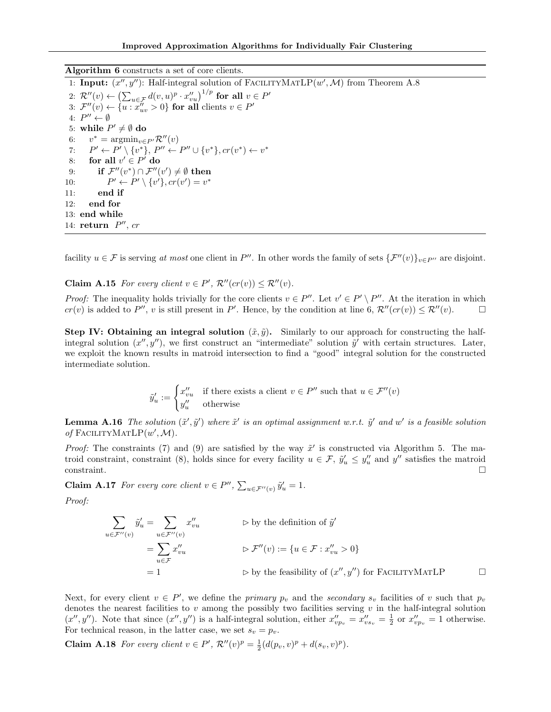<span id="page-17-0"></span>Algorithm 6 constructs a set of core clients.

<span id="page-17-1"></span>1: Input:  $(x'', y'')$ : Half-integral solution of FACILITYMATLP $(w', M)$  from Theorem [A.8](#page-13-6) 2:  $\mathcal{R}''(v) \leftarrow \left(\sum_{u \in \mathcal{F}} d(v, u)^p \cdot x''_{vu}\right)^{1/p}$  for all  $v \in P'$ 3:  $\mathcal{F}''(v) \leftarrow \{u : x''_{uv} > 0\}$  for all clients  $v \in P'$ 4:  $P'' \leftarrow \emptyset$ 5: while  $P' \neq \emptyset$  do 6:  $v^* = \operatorname{argmin}_{v \in P'} \mathcal{R}''(v)$ 7:  $P' \leftarrow P' \setminus \{v^*\}, P'' \leftarrow P'' \cup \{v^*\}, cr(v^*) \leftarrow v^*$ 8: for all  $v' \in P'$  do 9: if  $\mathcal{F}''(v^*) \cap \mathcal{F}''(v') \neq \emptyset$  then  $10:$  $v' \leftarrow P' \setminus \{v'\}, cr(v') = v^*$ 11: end if 12: end for 13: end while 14: return  $P''$ , cr

facility  $u \in \mathcal{F}$  is serving at most one client in P''. In other words the family of sets  $\{\mathcal{F}''(v)\}_{v\in P}$  are disjoint.

<span id="page-17-3"></span>**Claim A.15** For every client  $v \in P'$ ,  $\mathcal{R}''(c r(v)) \leq \mathcal{R}''(v)$ .

*Proof:* The inequality holds trivially for the core clients  $v \in P''$ . Let  $v' \in P' \setminus P''$ . At the iteration in which  $cr(v)$  is added to P'', v is still present in P'. Hence, by the condition at line [6,](#page-17-1)  $\mathcal{R}''(cr(v)) \leq \mathcal{R}''(v)$ .

**Step IV: Obtaining an integral solution**  $(\tilde{x}, \tilde{y})$ . Similarly to our approach for constructing the halfintegral solution  $(x'', y'')$ , we first construct an "intermediate" solution  $\tilde{y}'$  with certain structures. Later, we exploit the known results in matroid intersection to find a "good" integral solution for the constructed intermediate solution.

$$
\tilde{y}'_u := \begin{cases} x''_{vu} & \text{if there exists a client } v \in P'' \text{ such that } u \in \mathcal{F}''(v) \\ y''_u & \text{otherwise} \end{cases}
$$

**Lemma A.16** The solution  $(\tilde{x}', \tilde{y}')$  where  $\tilde{x}'$  is an optimal assignment w.r.t.  $\tilde{y}'$  and w' is a feasible solution of FACILITYMATL $P(w',\mathcal{M})$ .

Proof: The constraints [\(7\)](#page-10-2) and [\(9\)](#page-10-3) are satisfied by the way  $\tilde{x}'$  is constructed via Algorithm [5.](#page-13-2) The ma-troid constraint, constraint [\(8\)](#page-10-1), holds since for every facility  $u \in \mathcal{F}$ ,  $\tilde{y}'_u \leq y''_u$  and  $y''$  satisfies the matroid constraint.

**Claim A.17** For every core client  $v \in P''$ ,  $\sum_{u \in \mathcal{F}''(v)} \tilde{y}'_u = 1$ .

Proof:

$$
\sum_{u \in \mathcal{F}''(v)} \tilde{y}'_u = \sum_{u \in \mathcal{F}''(v)} x''_{vu} \qquad \qquad \triangleright \text{ by the definition of } \tilde{y}'
$$
\n
$$
= \sum_{u \in \mathcal{F}} x''_{vu} \qquad \qquad \triangleright \mathcal{F}''(v) := \{u \in \mathcal{F} : x''_{vu} > 0\}
$$
\n
$$
= 1 \qquad \qquad \triangleright \text{ by the feasibility of } (x'', y'') \text{ for } \text{FACILITYMATLP} \qquad \qquad \square
$$

Next, for every client  $v \in P'$ , we define the *primary*  $p_v$  and the *secondary*  $s_v$  facilities of v such that  $p_v$ denotes the nearest facilities to  $v$  among the possibly two facilities serving  $v$  in the half-integral solution  $(x'', y'')$ . Note that since  $(x'', y'')$  is a half-integral solution, either  $x''_{vp_v} = x''_{vs_v} = \frac{1}{2}$  or  $x''_{vp_v} = 1$  otherwise. For technical reason, in the latter case, we set  $s_v = p_v$ .

<span id="page-17-2"></span>**Claim A.18** For every client  $v \in P'$ ,  $\mathcal{R}''(v)^p = \frac{1}{2}(d(p_v, v)^p + d(s_v, v)^p)$ .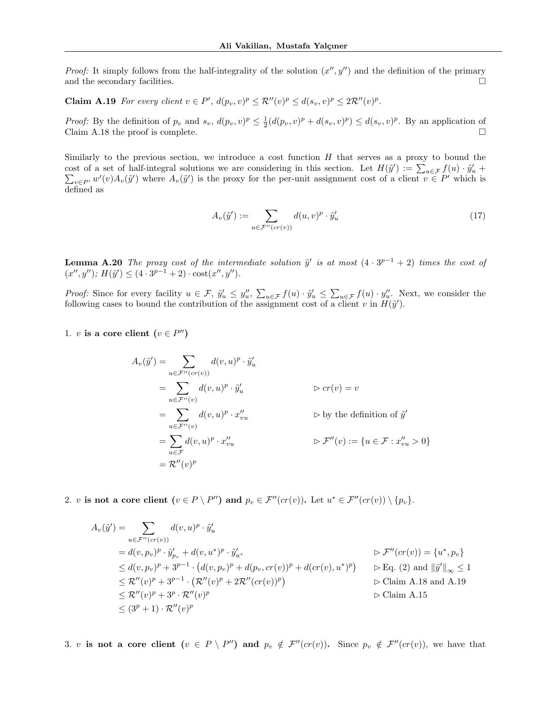*Proof:* It simply follows from the half-integrality of the solution  $(x'', y'')$  and the definition of the primary and the secondary facilities.  $\Box$ 

<span id="page-18-0"></span>**Claim A.19** For every client  $v \in P'$ ,  $d(p_v, v)^p \leq R''(v)^p \leq d(s_v, v)^p \leq 2R''(v)^p$ .

*Proof:* By the definition of  $p_v$  and  $s_v$ ,  $d(p_v, v)^p \leq \frac{1}{2}(d(p_v, v)^p + d(s_v, v)^p) \leq d(s_v, v)^p$ . By an application of Claim [A.18](#page-17-2) the proof is complete.  $\square$ 

Similarly to the previous section, we introduce a cost function  $H$  that serves as a proxy to bound the cost of a set of half-integral solutions we are considering in this section. Let  $H(\tilde{y}') := \sum_{u \in \mathcal{F}} f(u) \cdot \tilde{y}'_u$ cost of a set of half-integral solutions we are considering in this section. Let  $H(\tilde{y}') := \sum_{u \in \mathcal{F}} f(u) \cdot \tilde{y}'_u + \sum_{v \in P'} w'(v) A_v(\tilde{y}')$  where  $A_v(\tilde{y}')$  is the proxy for the per-unit assignment cost of a client  $v \in P'$  defined as

$$
A_v(\tilde{y}') := \sum_{u \in \mathcal{F}''(cr(v))} d(u, v)^p \cdot \tilde{y}'_u \tag{17}
$$

<span id="page-18-1"></span>**Lemma A.20** The proxy cost of the intermediate solution  $\tilde{y}'$  is at most  $(4 \cdot 3^{p-1} + 2)$  times the cost of  $(x'', y'')$ ;  $H(\tilde{y}') \leq (4 \cdot 3^{p-1} + 2) \cdot \text{cost}(x'', y'')$ .

*Proof:* Since for every facility  $u \in \mathcal{F}$ ,  $\tilde{y}'_u \leq y''_u$ ,  $\sum_{u \in \mathcal{F}} f(u) \cdot \tilde{y}'_u \leq \sum_{u \in \mathcal{F}} f(u) \cdot y''_u$ . Next, we consider the following cases to bound the contribution of the assignment cost of a client v in  $H(\tilde{y}')$ .

1. v is a core client  $(v \in P'')$ 

$$
A_v(\tilde{y}') = \sum_{u \in \mathcal{F}''(cr(v))} d(v, u)^p \cdot \tilde{y}'_u
$$
  
\n
$$
= \sum_{u \in \mathcal{F}''(v)} d(v, u)^p \cdot \tilde{y}'_u \qquad \qquad \triangleright cr(v) = v
$$
  
\n
$$
= \sum_{u \in \mathcal{F}''(v)} d(v, u)^p \cdot x''_{vu} \qquad \qquad \triangleright \text{by the definition of } \tilde{y}'
$$
  
\n
$$
= \sum_{u \in \mathcal{F}} d(v, u)^p \cdot x''_{vu} \qquad \qquad \triangleright \mathcal{F}''(v) := \{u \in \mathcal{F} : x''_{vu} > 0\}
$$
  
\n
$$
= \mathcal{R}''(v)^p
$$

2. v is not a core client  $(v \in P \setminus P'')$  and  $p_v \in \mathcal{F}''(cr(v))$ . Let  $u^* \in \mathcal{F}''(cr(v)) \setminus \{p_v\}$ .

$$
A_v(\tilde{y}') = \sum_{u \in \mathcal{F}''(cr(v))} d(v, u)^p \cdot \tilde{y}'_u
$$
  
\n
$$
= d(v, p_v)^p \cdot \tilde{y}'_{p_v} + d(v, u^*)^p \cdot \tilde{y}'_{u^*}
$$
  
\n
$$
\leq d(v, p_v)^p + 3^{p-1} \cdot (d(v, p_v)^p + d(p_v, cr(v))^p + d(cr(v), u^*)^p) \qquad \triangleright \text{Eq. (2) and } ||\tilde{y}'||_{\infty} \leq 1
$$
  
\n
$$
\leq \mathcal{R}''(v)^p + 3^{p-1} \cdot (\mathcal{R}''(v)^p + 2\mathcal{R}''(cr(v))^p)
$$
  
\n
$$
\leq \mathcal{R}''(v)^p + 3^p \cdot \mathcal{R}''(v)^p
$$
  
\n
$$
\leq (3^p + 1) \cdot \mathcal{R}''(v)^p
$$
  
\n
$$
\leq (3^p + 1) \cdot \mathcal{R}''(v)^p
$$

3. v is not a core client  $(v \in P \setminus P'')$  and  $p_v \notin \mathcal{F}''(cr(v))$ . Since  $p_v \notin \mathcal{F}''(cr(v))$ , we have that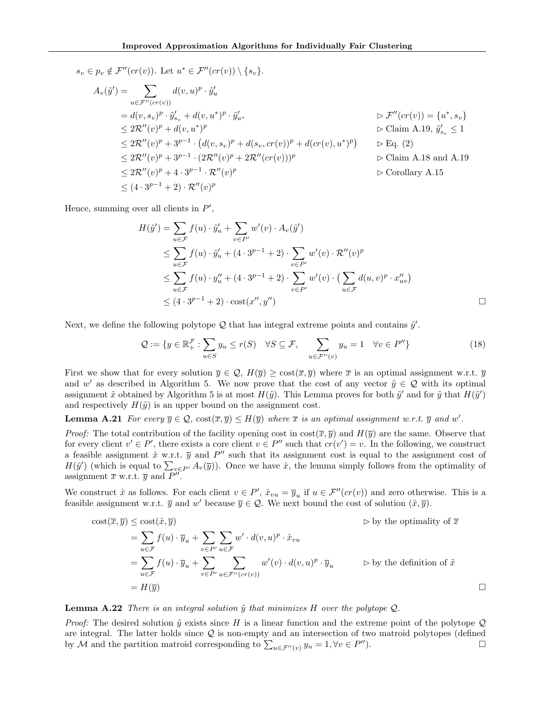$$
s_v \in p_v \notin \mathcal{F}''(cr(v)). \text{ Let } u^* \in \mathcal{F}''(cr(v)) \setminus \{s_v\}.
$$
  
\n
$$
A_v(\tilde{y}') = \sum_{u \in \mathcal{F}''(cr(v))} d(v, u)^p \cdot \tilde{y}'_u
$$
  
\n
$$
= d(v, s_v)^p \cdot \tilde{y}'_{s_v} + d(v, u^*)^p \cdot \tilde{y}'_{u^*}
$$
  
\n
$$
\leq 2\mathcal{R}''(v)^p + d(v, u^*)^p
$$
  
\n
$$
\leq 2\mathcal{R}''(v)^p + 3^{p-1} \cdot (d(v, s_v)^p + d(s_v, cr(v))^p + d(cr(v), u^*)^p) \qquad \triangleright \text{Claim A.19, } \tilde{y}'_{s_v} \leq 1
$$
  
\n
$$
\leq 2\mathcal{R}''(v)^p + 3^{p-1} \cdot (2\mathcal{R}''(v)^p + 2\mathcal{R}''(cr(v)))^p
$$
  
\n
$$
\leq 2\mathcal{R}''(v)^p + 4 \cdot 3^{p-1} \cdot \mathcal{R}''(v)^p
$$
  
\n
$$
\leq (4 \cdot 3^{p-1} + 2) \cdot \mathcal{R}''(v)^p
$$

Hence, summing over all clients in  $P'$ ,

$$
H(\tilde{y}') = \sum_{u \in \mathcal{F}} f(u) \cdot \tilde{y}'_u + \sum_{v \in P'} w'(v) \cdot A_v(\tilde{y}')
$$
  
\n
$$
\leq \sum_{u \in \mathcal{F}} f(u) \cdot \tilde{y}'_u + (4 \cdot 3^{p-1} + 2) \cdot \sum_{v \in P'} w'(v) \cdot \mathcal{R}''(v)^p
$$
  
\n
$$
\leq \sum_{u \in \mathcal{F}} f(u) \cdot y''_u + (4 \cdot 3^{p-1} + 2) \cdot \sum_{v \in P'} w'(v) \cdot (\sum_{u \in \mathcal{F}} d(u, v)^p \cdot x''_{uv})
$$
  
\n
$$
\leq (4 \cdot 3^{p-1} + 2) \cdot \text{cost}(x'', y'')
$$

Next, we define the following polytope  $\mathcal Q$  that has integral extreme points and contains  $\tilde y'$ .

<span id="page-19-1"></span>
$$
\mathcal{Q} := \{ y \in \mathbb{R}_+^{\mathcal{F}} : \sum_{u \in S} y_u \le r(S) \quad \forall S \subseteq \mathcal{F}, \quad \sum_{u \in \mathcal{F}''(v)} y_u = 1 \quad \forall v \in P'' \}
$$
(18)

First we show that for every solution  $\overline{y} \in \mathcal{Q}$ ,  $H(\overline{y}) \ge \text{cost}(\overline{x}, \overline{y})$  where  $\overline{x}$  is an optimal assignment w.r.t.  $\overline{y}$ and w' as described in Algorithm [5.](#page-13-2) We now prove that the cost of any vector  $\tilde{y} \in \mathcal{Q}$  with its optimal assignment  $\tilde{x}$  obtained by Algorithm [5](#page-13-2) is at most  $H(\tilde{y})$ . This Lemma proves for both  $\tilde{y}'$  and for  $\tilde{y}$  that  $H(\tilde{y}')$ and respectively  $H(\tilde{y})$  is an upper bound on the assignment cost.

# **Lemma A.21** For every  $\overline{y} \in \mathcal{Q}$ ,  $\text{cost}(\overline{x}, \overline{y}) \leq H(\overline{y})$  where  $\overline{x}$  is an optimal assignment w.r.t.  $\overline{y}$  and w'.

*Proof:* The total contribution of the facility opening cost in  $\cos(\bar{x}, \bar{y})$  and  $H(\bar{y})$  are the same. Observe that for every client  $v' \in P'$ , there exists a core client  $v \in P''$  such that  $cr(v') = v$ . In the following, we construct a feasible assignment  $\hat{x}$  w.r.t.  $\overline{y}$  and  $P''$  such that its assignment cost is equal to the assignment cost of  $H(\tilde{y}')$  (which is equal to  $\sum_{v \in P'} A_v(\overline{y})$ ). Once we have  $\hat{x}$ , the lemma simply follows from the optimality of assignment  $\overline{x}$  w.r.t.  $\overline{y}$  and  $P''$ .

We construct  $\hat{x}$  as follows. For each client  $v \in P'$ ,  $\hat{x}_{vu} = \overline{y}_u$  if  $u \in \mathcal{F}''(cr(v))$  and zero otherwise. This is a feasible assignment w.r.t.  $\overline{y}$  and  $w'$  because  $\overline{y} \in \mathcal{Q}$ . We next bound the cost of solution  $(\hat{x}, \overline{y})$ .

cost(
$$
\overline{x}, \overline{y}
$$
)  $\leq$  cost( $\hat{x}, \overline{y}$ )  
\n
$$
= \sum_{u \in \mathcal{F}} f(u) \cdot \overline{y}_u + \sum_{v \in P'} \sum_{u \in \mathcal{F}} w' \cdot d(v, u)^p \cdot \hat{x}_{vu}
$$
\n
$$
= \sum_{u \in \mathcal{F}} f(u) \cdot \overline{y}_u + \sum_{v \in P'} \sum_{u \in \mathcal{F}''(cr(v))} w'(v) \cdot d(v, u)^p \cdot \overline{y}_u \qquad \Rightarrow
$$
 by the definition of  $\tilde{x}$   
\n
$$
= H(\overline{y})
$$

#### <span id="page-19-0"></span>**Lemma A.22** There is an integral solution  $\tilde{y}$  that minimizes H over the polytope Q.

*Proof:* The desired solution  $\tilde{y}$  exists since H is a linear function and the extreme point of the polytope Q are integral. The latter holds since Q is non-empty and an intersection of two matroid polytopes (defined by M and the partition matroid corresponding to  $\sum_{u \in \mathcal{F}''(v)} y_u = 1, \forall v \in P$  $\blacksquare$ ).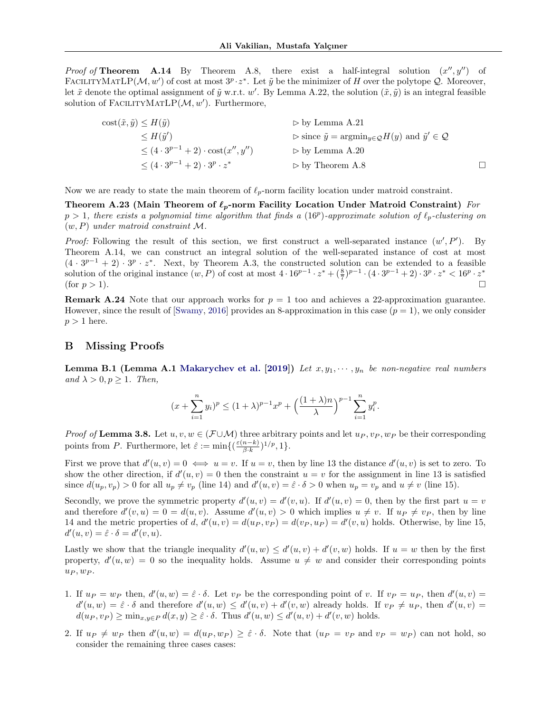*Proof of* Theorem [A.14](#page-16-1) By Theorem [A.8,](#page-13-6) there exist a half-integral solution  $(x'', y'')$  of FACILITYMATLP( $M, w'$ ) of cost at most  $3^p \cdot z^*$ . Let  $\tilde{y}$  be the minimizer of H over the polytope Q. Moreover, let  $\tilde{x}$  denote the optimal assignment of  $\tilde{y}$  w.r.t. w'. By Lemma [A.22,](#page-19-0) the solution  $(\tilde{x}, \tilde{y})$  is an integral feasible solution of FACILITYMATLP $(M, w')$ . Furthermore,

$$
\begin{aligned}\n\text{cost}(\tilde{x}, \tilde{y}) &\le H(\tilde{y}) && \Rightarrow \text{by Lemma A.21} \\
&\le H(\tilde{y}') && \Rightarrow \text{since } \tilde{y} = \text{argmin}_{y \in \mathcal{Q}} H(y) \text{ and } \tilde{y}' \in \mathcal{Q} \\
&\le (4 \cdot 3^{p-1} + 2) \cdot \text{cost}(x'', y'') && \Rightarrow \text{by Lemma A.20} \\
&\le (4 \cdot 3^{p-1} + 2) \cdot 3^p \cdot z^* && \Rightarrow \text{by Theorem A.8}\n\end{aligned}
$$

Now we are ready to state the main theorem of  $\ell_p$ -norm facility location under matroid constraint.

Theorem A.23 (Main Theorem of  $\ell_p$ -norm Facility Location Under Matroid Constraint) For  $p > 1$ , there exists a polynomial time algorithm that finds a (16<sup>p</sup>)-approximate solution of  $\ell_p$ -clustering on  $(w, P)$  under matroid constraint M.

*Proof:* Following the result of this section, we first construct a well-separated instance  $(w', P')$ . By Theorem [A.14,](#page-16-1) we can construct an integral solution of the well-separated instance of cost at most  $(4 \cdot 3^{p-1} + 2) \cdot 3^p \cdot z^*$ . Next, by Theorem [A.3,](#page-11-3) the constructed solution can be extended to a feasible solution of the original instance  $(w, P)$  of cost at most  $4 \cdot 16^{p-1} \cdot z^* + (\frac{8}{7})^{p-1} \cdot (4 \cdot 3^{p-1} + 2) \cdot 3^p \cdot z^* < 16^p \cdot z^*$ (for  $p > 1$ ).

**Remark A.24** Note that our approach works for  $p = 1$  too and achieves a 22-approximation guarantee. However, since the result of [\[Swamy,](#page-9-2) [2016\]](#page-9-2) provides an 8-approximation in this case  $(p = 1)$ , we only consider  $p > 1$  here.

### B Missing Proofs

<span id="page-20-1"></span>**Lemma B.1 (Lemma A.1 [Makarychev et al.](#page-9-23) [\[2019\]](#page-9-23))** Let  $x, y_1, \dots, y_n$  be non-negative real numbers and  $\lambda > 0, p \ge 1$ . Then,

<span id="page-20-0"></span>
$$
(x + \sum_{i=1}^{n} y_i)^p \le (1 + \lambda)^{p-1} x^p + \left(\frac{(1 + \lambda)n}{\lambda}\right)^{p-1} \sum_{i=1}^{n} y_i^p.
$$

*Proof of* Lemma [3.8.](#page-5-3) Let  $u, v, w \in (F \cup M)$  three arbitrary points and let  $u_P, v_P, w_P$  be their corresponding points from P. Furthermore, let  $\hat{\varepsilon} := \min\{(\frac{\varepsilon(n-k)}{\beta,k})\}$  $\frac{n-k)}{\beta \cdot k}$ )<sup>1/p</sup>, 1}.

First we prove that  $d'(u, v) = 0 \iff u = v$ . If  $u = v$ , then by line [13](#page-6-3) the distance  $d'(u, v)$  is set to zero. To show the other direction, if  $d'(u, v) = 0$  then the constraint  $u = v$  for the assignment in line [13](#page-6-3) is satisfied since  $d(u_p, v_p) > 0$  for all  $u_p \neq v_p$  (line [14\)](#page-6-4) and  $d'(u, v) = \hat{\varepsilon} \cdot \delta > 0$  when  $u_p = v_p$  and  $u \neq v$  (line [15\)](#page-6-5).

Secondly, we prove the symmetric property  $d'(u, v) = d'(v, u)$ . If  $d'(u, v) = 0$ , then by the first part  $u = v$ and therefore  $d'(v, u) = 0 = d(u, v)$ . Assume  $d'(u, v) > 0$  which implies  $u \neq v$ . If  $u_P \neq v_P$ , then by line [14](#page-6-4) and the metric properties of d,  $d'(u, v) = d(u_P, v_P) = d(v_P, u_P) = d'(v, u)$  holds. Otherwise, by line [15,](#page-6-5)  $d'(u, v) = \hat{\varepsilon} \cdot \delta = d'(v, u).$ 

Lastly we show that the triangle inequality  $d'(u, w) \leq d'(u, v) + d'(v, w)$  holds. If  $u = w$  then by the first property,  $d'(u, w) = 0$  so the inequality holds. Assume  $u \neq w$  and consider their corresponding points  $u_P, w_P.$ 

- 1. If  $u_P = w_P$  then,  $d'(u, w) = \hat{\varepsilon} \cdot \delta$ . Let  $v_P$  be the corresponding point of v. If  $v_P = u_P$ , then  $d'(u, v) =$  $d'(u, w) = \hat{\varepsilon} \cdot \delta$  and therefore  $d'(u, w) \leq d'(u, v) + d'(v, w)$  already holds. If  $v_P \neq u_P$ , then  $d'(u, v) =$  $d(u_P, v_P) \ge \min_{x,y \in P} d(x,y) \ge \hat{\varepsilon} \cdot \delta$ . Thus  $d'(u, w) \le d'(u, v) + d'(v, w)$  holds.
- 2. If  $u_P \neq w_P$  then  $d'(u, w) = d(u_P, w_P) \geq \hat{\varepsilon} \cdot \delta$ . Note that  $(u_P = v_P \text{ and } v_P = w_P)$  can not hold, so consider the remaining three cases cases: